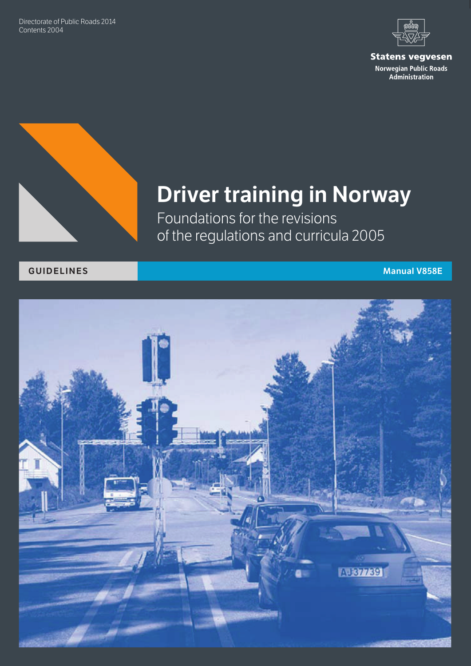Directorate of Public Roads 2014 Contents 2004



**Statens vegvesen** Norwegian Public Roads Administration



# **Driver training in Norway**

Foundations for the revisions of the regulations and curricula 2005

#### **Guidelines Manual V858E**

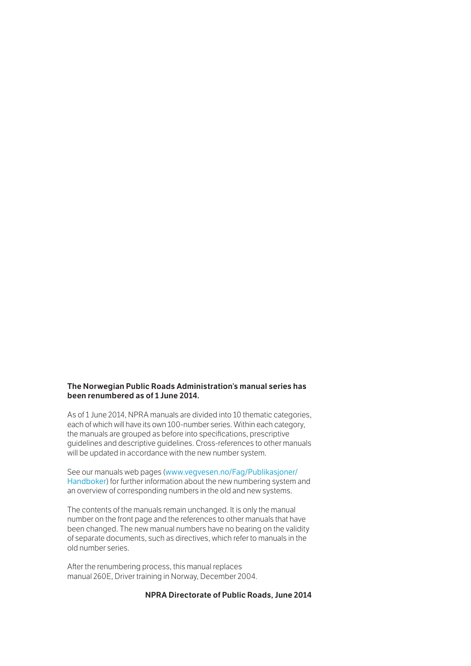#### **The Norwegian Public Roads Administration's manual series has been renumbered as of 1 June 2014.**

As of 1 June 2014, NPRA manuals are divided into 10 thematic categories, each of which will have its own 100-number series. Within each category, the manuals are grouped as before into specifications, prescriptive guidelines and descriptive guidelines. Cross-references to other manuals will be updated in accordance with the new number system.

See our manuals web pages ([www.vegvesen.no/Fag/Publikasjoner/](http://www.vegvesen.no/Fag/Publikasjoner/Handboker) Handboker) for further information about the new numbering system and an overview of corresponding numbers in the old and new systems.

The contents of the manuals remain unchanged. It is only the manual number on the front page and the references to other manuals that have been changed. The new manual numbers have no bearing on the validity of separate documents, such as directives, which refer to manuals in the old number series.

After the renumbering process, this manual replaces manual 260E, Driver training in Norway, December 2004.

#### **NPRA Directorate of Public Roads, June 2014**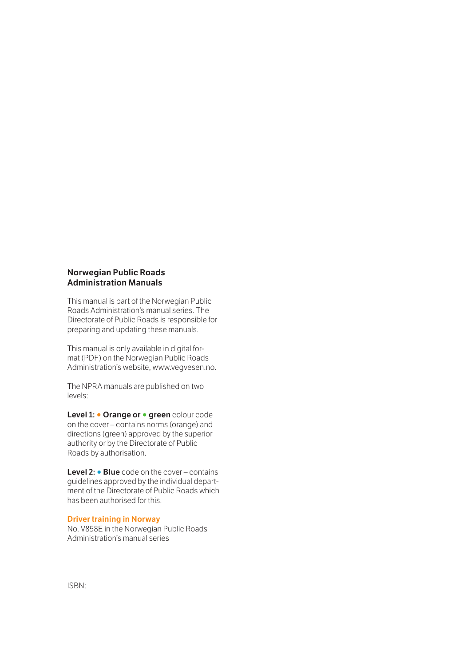#### **Norwegian Public Roads Administration Manuals**

This manual is part of the Norwegian Public Roads Administration's manual series. The Directorate of Public Roads is responsible for preparing and updating these manuals.

This manual is only available in digital format (PDF) on the Norwegian Public Roads Administration's website, www.vegvesen.no.

The NPRA manuals are published on two levels:

**Level 1: • Orange or • green** colour code on the cover – contains norms (orange) and directions (green) approved by the superior authority or by the Directorate of Public Roads by authorisation.

**Level 2: ○ Blue** code on the cover – contains guidelines approved by the individual department of the Directorate of Public Roads which has been authorised for this.

#### **Driver training in Norway**

No. V858E in the Norwegian Public Roads Administration's manual series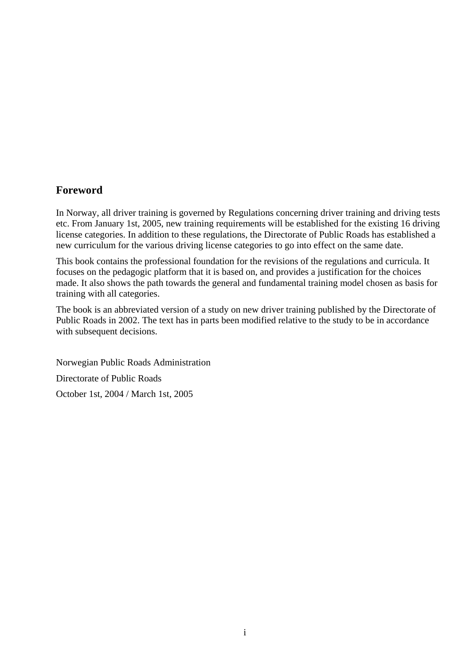#### **Foreword**

In Norway, all driver training is governed by Regulations concerning driver training and driving tests etc. From January 1st, 2005, new training requirements will be established for the existing 16 driving license categories. In addition to these regulations, the Directorate of Public Roads has established a new curriculum for the various driving license categories to go into effect on the same date.

This book contains the professional foundation for the revisions of the regulations and curricula. It focuses on the pedagogic platform that it is based on, and provides a justification for the choices made. It also shows the path towards the general and fundamental training model chosen as basis for training with all categories.

The book is an abbreviated version of a study on new driver training published by the Directorate of Public Roads in 2002. The text has in parts been modified relative to the study to be in accordance with subsequent decisions.

Norwegian Public Roads Administration Directorate of Public Roads October 1st, 2004 / March 1st, 2005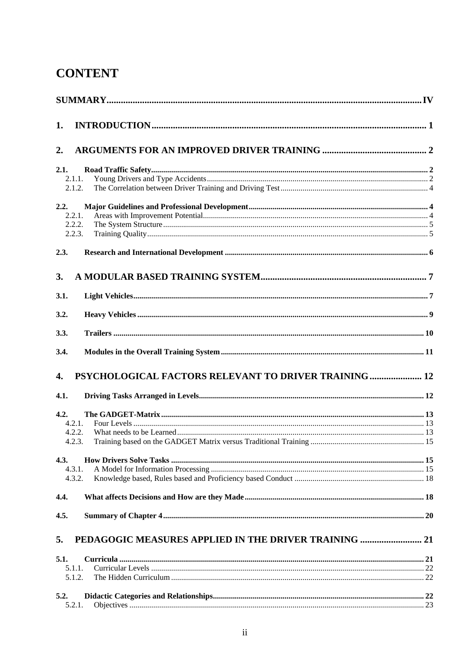## **CONTENT**

| 1.               |                                                       |  |
|------------------|-------------------------------------------------------|--|
| 2.               |                                                       |  |
| 2.1.             |                                                       |  |
| 2.1.1.           |                                                       |  |
| 2.1.2.           |                                                       |  |
| 2.2.             |                                                       |  |
| 2.2.1.           |                                                       |  |
| 2.2.2.<br>2.2.3. |                                                       |  |
|                  |                                                       |  |
| 2.3.             |                                                       |  |
| 3.               |                                                       |  |
| 3.1.             |                                                       |  |
| 3.2.             |                                                       |  |
| 3.3.             |                                                       |  |
| 3.4.             |                                                       |  |
| 4.               | PSYCHOLOGICAL FACTORS RELEVANT TO DRIVER TRAINING  12 |  |
| 4.1.             |                                                       |  |
| 4.2.             |                                                       |  |
| 4.2.1.           |                                                       |  |
| 4.2.2.<br>4.2.3. |                                                       |  |
|                  |                                                       |  |
| 4.3.             |                                                       |  |
| 4.3.1.           |                                                       |  |
| 4.3.2.           |                                                       |  |
| 4.4.             |                                                       |  |
| 4.5.             |                                                       |  |
| 5.               | PEDAGOGIC MEASURES APPLIED IN THE DRIVER TRAINING  21 |  |
| 5.1.             |                                                       |  |
| 5.1.1.           |                                                       |  |
| 5.1.2.           |                                                       |  |
| 5.2.             |                                                       |  |
| 5.2.1.           |                                                       |  |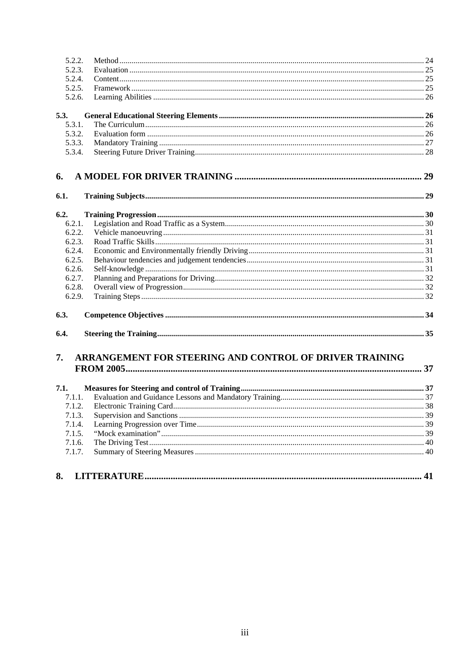| 5.2.2. |                                                         |  |
|--------|---------------------------------------------------------|--|
| 5.2.3. |                                                         |  |
| 5.2.4. |                                                         |  |
| 5.2.5. |                                                         |  |
| 5.2.6. |                                                         |  |
| 5.3.   |                                                         |  |
| 5.3.1. |                                                         |  |
| 5.3.2. |                                                         |  |
| 5.3.3. |                                                         |  |
| 5.3.4. |                                                         |  |
| 6.     |                                                         |  |
| 6.1.   |                                                         |  |
| 6.2.   |                                                         |  |
| 6.2.1. |                                                         |  |
| 6.2.2. |                                                         |  |
| 6.2.3. |                                                         |  |
| 6.2.4. |                                                         |  |
| 6.2.5. |                                                         |  |
| 6.2.6. |                                                         |  |
| 6.2.7. |                                                         |  |
| 6.2.8. |                                                         |  |
| 6.2.9. |                                                         |  |
| 6.3.   |                                                         |  |
| 6.4.   |                                                         |  |
| 7.     | ARRANGEMENT FOR STEERING AND CONTROL OF DRIVER TRAINING |  |
|        |                                                         |  |
| 7.1.   |                                                         |  |
| 7.1.1. |                                                         |  |
| 7.1.2. |                                                         |  |
| 7.1.3. |                                                         |  |
| 7.1.4. |                                                         |  |
| 7.1.5. |                                                         |  |
| 7.1.6. |                                                         |  |
| 7.1.7. |                                                         |  |
| 8.     |                                                         |  |
|        |                                                         |  |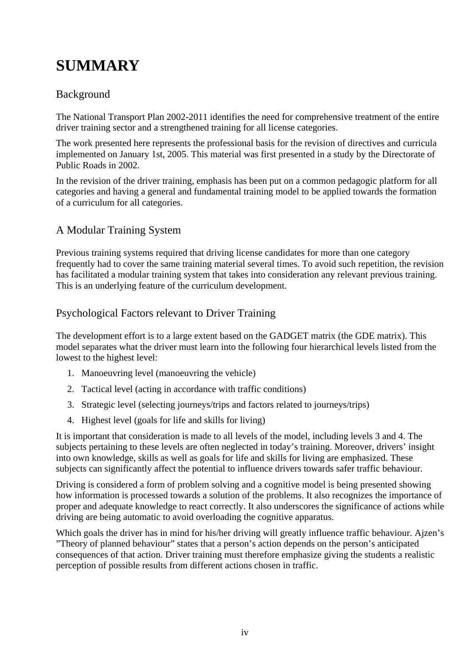## <span id="page-6-0"></span>**SUMMARY**

#### Background

The National Transport Plan 2002-2011 identifies the need for comprehensive treatment of the entire driver training sector and a strengthened training for all license categories.

The work presented here represents the professional basis for the revision of directives and curricula implemented on January 1st, 2005. This material was first presented in a study by the Directorate of Public Roads in 2002.

In the revision of the driver training, emphasis has been put on a common pedagogic platform for all categories and having a general and fundamental training model to be applied towards the formation of a curriculum for all categories.

#### A Modular Training System

Previous training systems required that driving license candidates for more than one category frequently had to cover the same training material several times. To avoid such repetition, the revision has facilitated a modular training system that takes into consideration any relevant previous training. This is an underlying feature of the curriculum development.

#### Psychological Factors relevant to Driver Training

The development effort is to a large extent based on the GADGET matrix (the GDE matrix). This model separates what the driver must learn into the following four hierarchical levels listed from the lowest to the highest level:

- 1. Manoeuvring level (manoeuvring the vehicle)
- 2. Tactical level (acting in accordance with traffic conditions)
- 3. Strategic level (selecting journeys/trips and factors related to journeys/trips)
- 4. Highest level (goals for life and skills for living)

It is important that consideration is made to all levels of the model, including levels 3 and 4. The subjects pertaining to these levels are often neglected in today's training. Moreover, drivers' insight into own knowledge, skills as well as goals for life and skills for living are emphasized. These subjects can significantly affect the potential to influence drivers towards safer traffic behaviour.

Driving is considered a form of problem solving and a cognitive model is being presented showing how information is processed towards a solution of the problems. It also recognizes the importance of proper and adequate knowledge to react correctly. It also underscores the significance of actions while driving are being automatic to avoid overloading the cognitive apparatus.

Which goals the driver has in mind for his/her driving will greatly influence traffic behaviour. Ajzen's "Theory of planned behaviour" states that a person's action depends on the person's anticipated consequences of that action. Driver training must therefore emphasize giving the students a realistic perception of possible results from different actions chosen in traffic.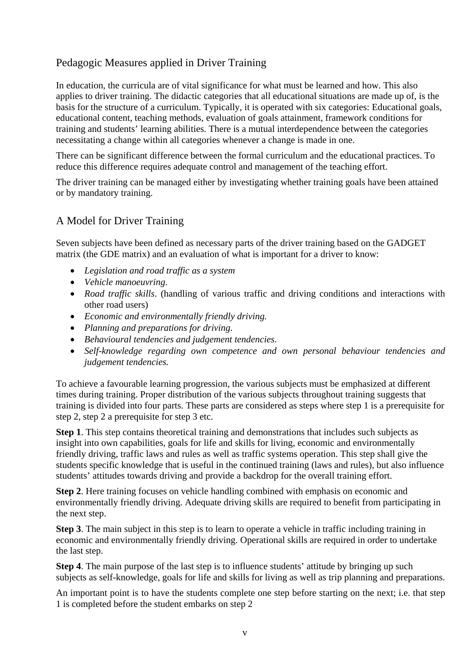#### Pedagogic Measures applied in Driver Training

In education, the curricula are of vital significance for what must be learned and how. This also applies to driver training. The didactic categories that all educational situations are made up of, is the basis for the structure of a curriculum. Typically, it is operated with six categories: Educational goals, educational content, teaching methods, evaluation of goals attainment, framework conditions for training and students' learning abilities. There is a mutual interdependence between the categories necessitating a change within all categories whenever a change is made in one.

There can be significant difference between the formal curriculum and the educational practices. To reduce this difference requires adequate control and management of the teaching effort.

The driver training can be managed either by investigating whether training goals have been attained or by mandatory training.

#### A Model for Driver Training

Seven subjects have been defined as necessary parts of the driver training based on the GADGET matrix (the GDE matrix) and an evaluation of what is important for a driver to know:

- *Legislation and road traffic as a system*
- *Vehicle manoeuvring*.
- *Road traffic skills*. (handling of various traffic and driving conditions and interactions with other road users)
- *Economic and environmentally friendly driving.*
- *Planning and preparations for driving*.
- *Behavioural tendencies and judgement tendencies*.
- *Self-knowledge regarding own competence and own personal behaviour tendencies and judgement tendencies.*

To achieve a favourable learning progression, the various subjects must be emphasized at different times during training. Proper distribution of the various subjects throughout training suggests that training is divided into four parts. These parts are considered as steps where step 1 is a prerequisite for step 2, step 2 a prerequisite for step 3 etc.

**Step 1**. This step contains theoretical training and demonstrations that includes such subjects as insight into own capabilities, goals for life and skills for living, economic and environmentally friendly driving, traffic laws and rules as well as traffic systems operation. This step shall give the students specific knowledge that is useful in the continued training (laws and rules), but also influence students' attitudes towards driving and provide a backdrop for the overall training effort.

**Step 2**. Here training focuses on vehicle handling combined with emphasis on economic and environmentally friendly driving. Adequate driving skills are required to benefit from participating in the next step.

**Step 3**. The main subject in this step is to learn to operate a vehicle in traffic including training in economic and environmentally friendly driving. Operational skills are required in order to undertake the last step.

**Step 4**. The main purpose of the last step is to influence students' attitude by bringing up such subjects as self-knowledge, goals for life and skills for living as well as trip planning and preparations.

An important point is to have the students complete one step before starting on the next; i.e. that step 1 is completed before the student embarks on step 2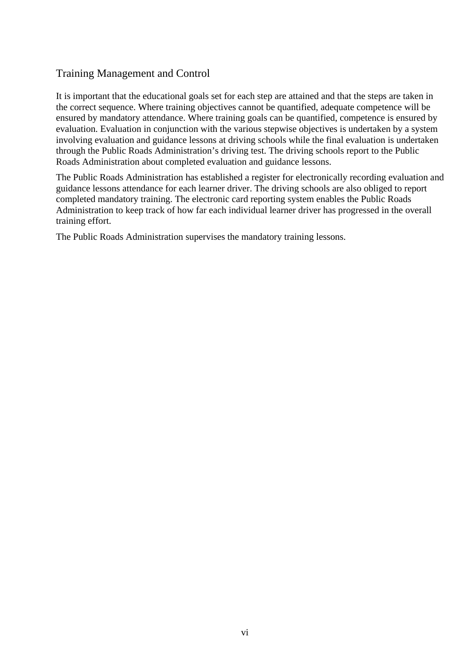#### Training Management and Control

It is important that the educational goals set for each step are attained and that the steps are taken in the correct sequence. Where training objectives cannot be quantified, adequate competence will be ensured by mandatory attendance. Where training goals can be quantified, competence is ensured by evaluation. Evaluation in conjunction with the various stepwise objectives is undertaken by a system involving evaluation and guidance lessons at driving schools while the final evaluation is undertaken through the Public Roads Administration's driving test. The driving schools report to the Public Roads Administration about completed evaluation and guidance lessons.

The Public Roads Administration has established a register for electronically recording evaluation and guidance lessons attendance for each learner driver. The driving schools are also obliged to report completed mandatory training. The electronic card reporting system enables the Public Roads Administration to keep track of how far each individual learner driver has progressed in the overall training effort.

The Public Roads Administration supervises the mandatory training lessons.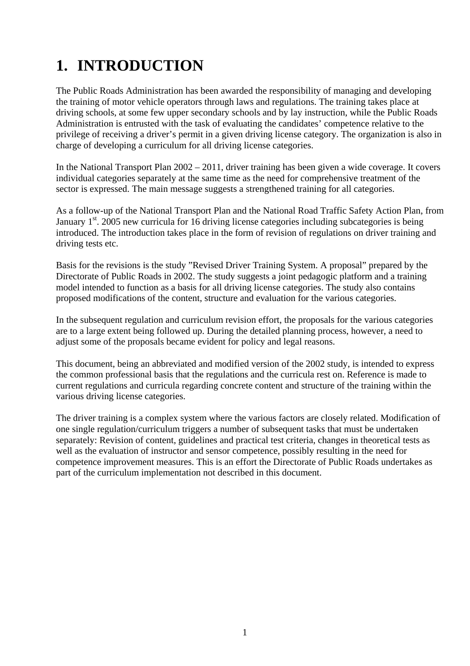## <span id="page-9-0"></span>**1. INTRODUCTION**

The Public Roads Administration has been awarded the responsibility of managing and developing the training of motor vehicle operators through laws and regulations. The training takes place at driving schools, at some few upper secondary schools and by lay instruction, while the Public Roads Administration is entrusted with the task of evaluating the candidates' competence relative to the privilege of receiving a driver's permit in a given driving license category. The organization is also in charge of developing a curriculum for all driving license categories.

In the National Transport Plan 2002 – 2011, driver training has been given a wide coverage. It covers individual categories separately at the same time as the need for comprehensive treatment of the sector is expressed. The main message suggests a strengthened training for all categories.

As a follow-up of the National Transport Plan and the National Road Traffic Safety Action Plan, from January  $1<sup>st</sup>$ . 2005 new curricula for 16 driving license categories including subcategories is being introduced. The introduction takes place in the form of revision of regulations on driver training and driving tests etc.

Basis for the revisions is the study "Revised Driver Training System. A proposal" prepared by the Directorate of Public Roads in 2002. The study suggests a joint pedagogic platform and a training model intended to function as a basis for all driving license categories. The study also contains proposed modifications of the content, structure and evaluation for the various categories.

In the subsequent regulation and curriculum revision effort, the proposals for the various categories are to a large extent being followed up. During the detailed planning process, however, a need to adjust some of the proposals became evident for policy and legal reasons.

This document, being an abbreviated and modified version of the 2002 study, is intended to express the common professional basis that the regulations and the curricula rest on. Reference is made to current regulations and curricula regarding concrete content and structure of the training within the various driving license categories.

The driver training is a complex system where the various factors are closely related. Modification of one single regulation/curriculum triggers a number of subsequent tasks that must be undertaken separately: Revision of content, guidelines and practical test criteria, changes in theoretical tests as well as the evaluation of instructor and sensor competence, possibly resulting in the need for competence improvement measures. This is an effort the Directorate of Public Roads undertakes as part of the curriculum implementation not described in this document.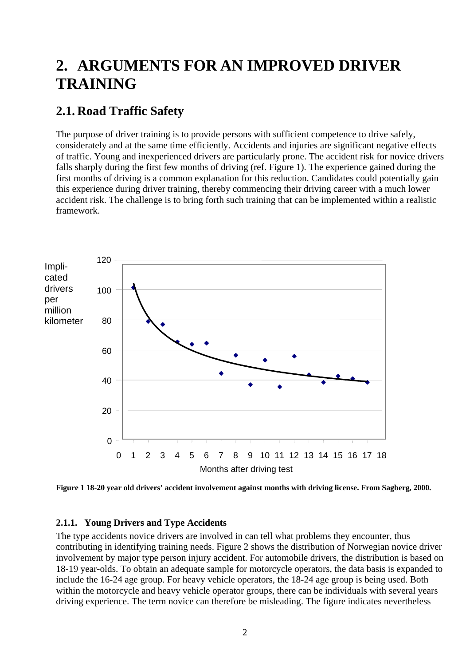## <span id="page-10-0"></span>**2. ARGUMENTS FOR AN IMPROVED DRIVER TRAINING**

## **2.1. Road Traffic Safety**

The purpose of driver training is to provide persons with sufficient competence to drive safely, considerately and at the same time efficiently. Accidents and injuries are significant negative effects of traffic. Young and inexperienced drivers are particularly prone. The accident risk for novice drivers falls sharply during the first few months of driving (ref. Figure 1). The experience gained during the first months of driving is a common explanation for this reduction. Candidates could potentially gain this experience during driver training, thereby commencing their driving career with a much lower accident risk. The challenge is to bring forth such training that can be implemented within a realistic framework.



**Figure 1 18-20 year old drivers' accident involvement against months with driving license. From Sagberg, 2000.** 

#### **2.1.1. Young Drivers and Type Accidents**

The type accidents novice drivers are involved in can tell what problems they encounter, thus contributing in identifying training needs. Figure 2 shows the distribution of Norwegian novice driver involvement by major type person injury accident. For automobile drivers, the distribution is based on 18-19 year-olds. To obtain an adequate sample for motorcycle operators, the data basis is expanded to include the 16-24 age group. For heavy vehicle operators, the 18-24 age group is being used. Both within the motorcycle and heavy vehicle operator groups, there can be individuals with several years driving experience. The term novice can therefore be misleading. The figure indicates nevertheless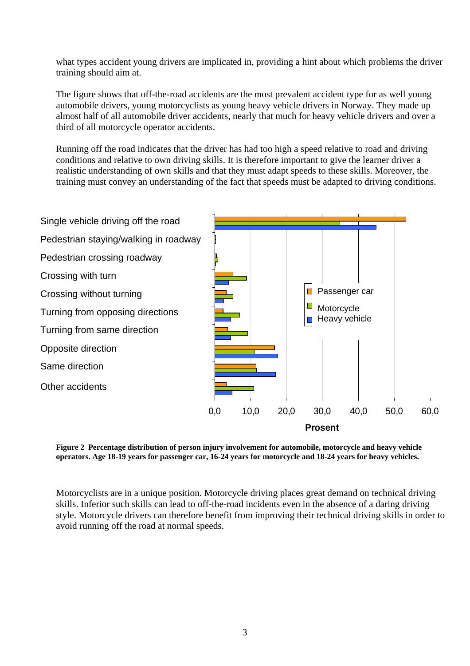what types accident young drivers are implicated in, providing a hint about which problems the driver training should aim at.

The figure shows that off-the-road accidents are the most prevalent accident type for as well young automobile drivers, young motorcyclists as young heavy vehicle drivers in Norway. They made up almost half of all automobile driver accidents, nearly that much for heavy vehicle drivers and over a third of all motorcycle operator accidents.

Running off the road indicates that the driver has had too high a speed relative to road and driving conditions and relative to own driving skills. It is therefore important to give the learner driver a realistic understanding of own skills and that they must adapt speeds to these skills. Moreover, the training must convey an understanding of the fact that speeds must be adapted to driving conditions.



**Figure 2 Percentage distribution of person injury involvement for automobile, motorcycle and heavy vehicle operators. Age 18-19 years for passenger car, 16-24 years for motorcycle and 18-24 years for heavy vehicles.** 

Motorcyclists are in a unique position. Motorcycle driving places great demand on technical driving skills. Inferior such skills can lead to off-the-road incidents even in the absence of a daring driving style. Motorcycle drivers can therefore benefit from improving their technical driving skills in order to avoid running off the road at normal speeds.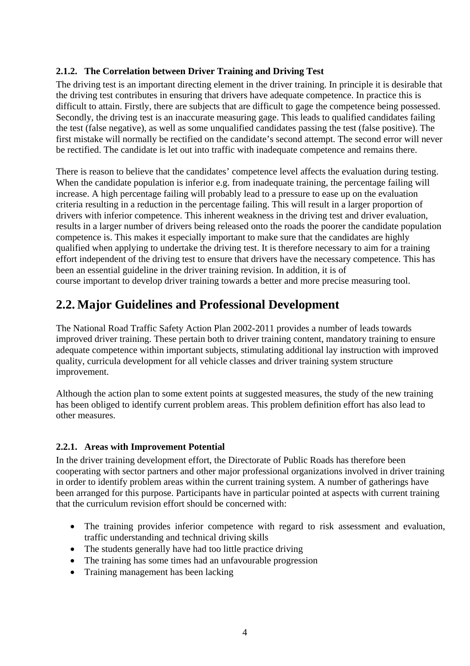#### <span id="page-12-0"></span>**2.1.2. The Correlation between Driver Training and Driving Test**

The driving test is an important directing element in the driver training. In principle it is desirable that the driving test contributes in ensuring that drivers have adequate competence. In practice this is difficult to attain. Firstly, there are subjects that are difficult to gage the competence being possessed. Secondly, the driving test is an inaccurate measuring gage. This leads to qualified candidates failing the test (false negative), as well as some unqualified candidates passing the test (false positive). The first mistake will normally be rectified on the candidate's second attempt. The second error will never be rectified. The candidate is let out into traffic with inadequate competence and remains there.

There is reason to believe that the candidates' competence level affects the evaluation during testing. When the candidate population is inferior e.g. from inadequate training, the percentage failing will increase. A high percentage failing will probably lead to a pressure to ease up on the evaluation criteria resulting in a reduction in the percentage failing. This will result in a larger proportion of drivers with inferior competence. This inherent weakness in the driving test and driver evaluation, results in a larger number of drivers being released onto the roads the poorer the candidate population competence is. This makes it especially important to make sure that the candidates are highly qualified when applying to undertake the driving test. It is therefore necessary to aim for a training effort independent of the driving test to ensure that drivers have the necessary competence. This has been an essential guideline in the driver training revision. In addition, it is of course important to develop driver training towards a better and more precise measuring tool.

## **2.2. Major Guidelines and Professional Development**

The National Road Traffic Safety Action Plan 2002-2011 provides a number of leads towards improved driver training. These pertain both to driver training content, mandatory training to ensure adequate competence within important subjects, stimulating additional lay instruction with improved quality, curricula development for all vehicle classes and driver training system structure improvement.

Although the action plan to some extent points at suggested measures, the study of the new training has been obliged to identify current problem areas. This problem definition effort has also lead to other measures.

#### **2.2.1. Areas with Improvement Potential**

In the driver training development effort, the Directorate of Public Roads has therefore been cooperating with sector partners and other major professional organizations involved in driver training in order to identify problem areas within the current training system. A number of gatherings have been arranged for this purpose. Participants have in particular pointed at aspects with current training that the curriculum revision effort should be concerned with:

- The training provides inferior competence with regard to risk assessment and evaluation, traffic understanding and technical driving skills
- The students generally have had too little practice driving
- The training has some times had an unfavourable progression
- Training management has been lacking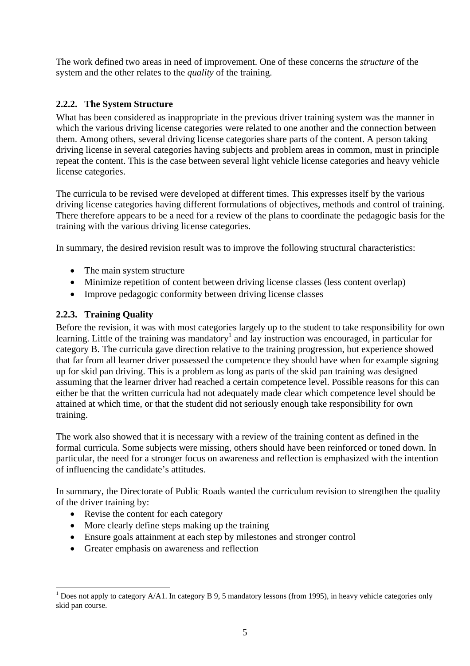<span id="page-13-0"></span>The work defined two areas in need of improvement. One of these concerns the *structure* of the system and the other relates to the *quality* of the training.

#### **2.2.2. The System Structure**

What has been considered as inappropriate in the previous driver training system was the manner in which the various driving license categories were related to one another and the connection between them. Among others, several driving license categories share parts of the content. A person taking driving license in several categories having subjects and problem areas in common, must in principle repeat the content. This is the case between several light vehicle license categories and heavy vehicle license categories.

The curricula to be revised were developed at different times. This expresses itself by the various driving license categories having different formulations of objectives, methods and control of training. There therefore appears to be a need for a review of the plans to coordinate the pedagogic basis for the training with the various driving license categories.

In summary, the desired revision result was to improve the following structural characteristics:

- The main system structure
- Minimize repetition of content between driving license classes (less content overlap)
- Improve pedagogic conformity between driving license classes

#### **2.2.3. Training Quality**

Before the revision, it was with most categories largely up to the student to take responsibility for own learning. Little of the training was mandatory<sup>[1](#page-13-1)</sup> and lay instruction was encouraged, in particular for category B. The curricula gave direction relative to the training progression, but experience showed that far from all learner driver possessed the competence they should have when for example signing up for skid pan driving. This is a problem as long as parts of the skid pan training was designed assuming that the learner driver had reached a certain competence level. Possible reasons for this can either be that the written curricula had not adequately made clear which competence level should be attained at which time, or that the student did not seriously enough take responsibility for own training.

The work also showed that it is necessary with a review of the training content as defined in the formal curricula. Some subjects were missing, others should have been reinforced or toned down. In particular, the need for a stronger focus on awareness and reflection is emphasized with the intention of influencing the candidate's attitudes.

In summary, the Directorate of Public Roads wanted the curriculum revision to strengthen the quality of the driver training by:

- Revise the content for each category
- More clearly define steps making up the training
- Ensure goals attainment at each step by milestones and stronger control
- Greater emphasis on awareness and reflection

<span id="page-13-1"></span> $\overline{a}$ <sup>1</sup> Does not apply to category  $A/A1$ . In category B 9, 5 mandatory lessons (from 1995), in heavy vehicle categories only skid pan course.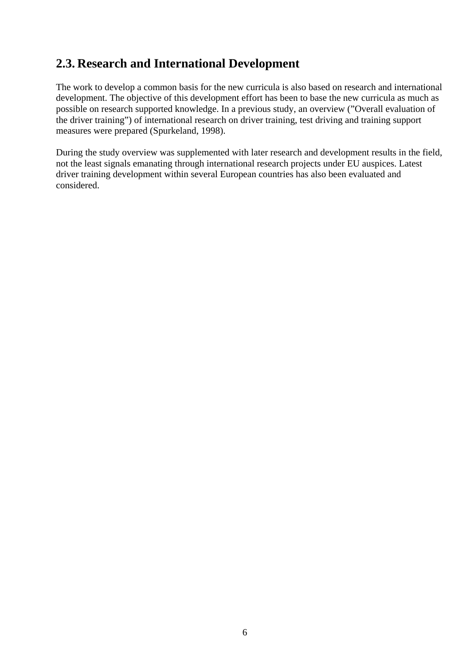## <span id="page-14-0"></span>**2.3. Research and International Development**

The work to develop a common basis for the new curricula is also based on research and international development. The objective of this development effort has been to base the new curricula as much as possible on research supported knowledge. In a previous study, an overview ("Overall evaluation of the driver training") of international research on driver training, test driving and training support measures were prepared (Spurkeland, 1998).

During the study overview was supplemented with later research and development results in the field, not the least signals emanating through international research projects under EU auspices. Latest driver training development within several European countries has also been evaluated and considered.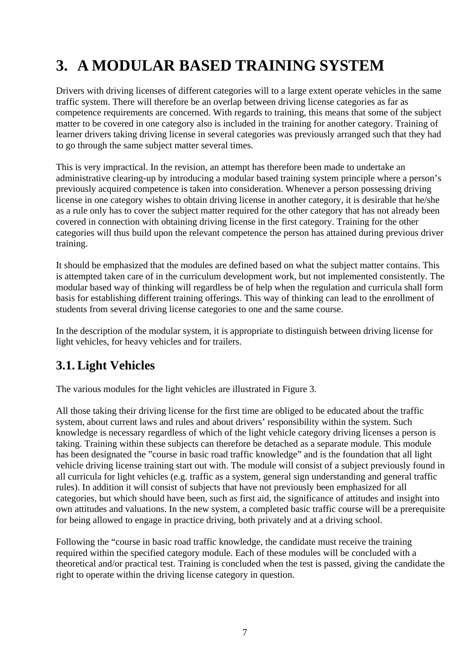## <span id="page-15-0"></span>**3. A MODULAR BASED TRAINING SYSTEM**

Drivers with driving licenses of different categories will to a large extent operate vehicles in the same traffic system. There will therefore be an overlap between driving license categories as far as competence requirements are concerned. With regards to training, this means that some of the subject matter to be covered in one category also is included in the training for another category. Training of learner drivers taking driving license in several categories was previously arranged such that they had to go through the same subject matter several times.

This is very impractical. In the revision, an attempt has therefore been made to undertake an administrative clearing-up by introducing a modular based training system principle where a person's previously acquired competence is taken into consideration. Whenever a person possessing driving license in one category wishes to obtain driving license in another category, it is desirable that he/she as a rule only has to cover the subject matter required for the other category that has not already been covered in connection with obtaining driving license in the first category. Training for the other categories will thus build upon the relevant competence the person has attained during previous driver training.

It should be emphasized that the modules are defined based on what the subject matter contains. This is attempted taken care of in the curriculum development work, but not implemented consistently. The modular based way of thinking will regardless be of help when the regulation and curricula shall form basis for establishing different training offerings. This way of thinking can lead to the enrollment of students from several driving license categories to one and the same course.

In the description of the modular system, it is appropriate to distinguish between driving license for light vehicles, for heavy vehicles and for trailers.

## **3.1. Light Vehicles**

The various modules for the light vehicles are illustrated in Figure 3.

All those taking their driving license for the first time are obliged to be educated about the traffic system, about current laws and rules and about drivers' responsibility within the system. Such knowledge is necessary regardless of which of the light vehicle category driving licenses a person is taking. Training within these subjects can therefore be detached as a separate module. This module has been designated the "course in basic road traffic knowledge" and is the foundation that all light vehicle driving license training start out with. The module will consist of a subject previously found in all curricula for light vehicles (e.g. traffic as a system, general sign understanding and general traffic rules). In addition it will consist of subjects that have not previously been emphasized for all categories, but which should have been, such as first aid, the significance of attitudes and insight into own attitudes and valuations. In the new system, a completed basic traffic course will be a prerequisite for being allowed to engage in practice driving, both privately and at a driving school.

Following the "course in basic road traffic knowledge, the candidate must receive the training required within the specified category module. Each of these modules will be concluded with a theoretical and/or practical test. Training is concluded when the test is passed, giving the candidate the right to operate within the driving license category in question.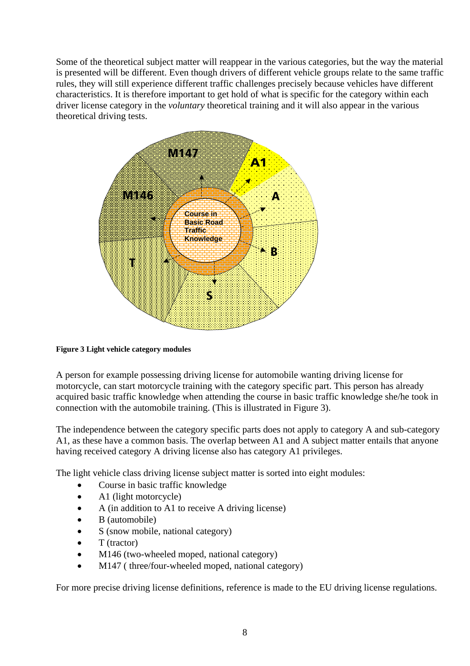Some of the theoretical subject matter will reappear in the various categories, but the way the material is presented will be different. Even though drivers of different vehicle groups relate to the same traffic rules, they will still experience different traffic challenges precisely because vehicles have different characteristics. It is therefore important to get hold of what is specific for the category within each driver license category in the *voluntary* theoretical training and it will also appear in the various theoretical driving tests.



#### **Figure 3 Light vehicle category modules**

A person for example possessing driving license for automobile wanting driving license for motorcycle, can start motorcycle training with the category specific part. This person has already acquired basic traffic knowledge when attending the course in basic traffic knowledge she/he took in connection with the automobile training. (This is illustrated in Figure 3).

The independence between the category specific parts does not apply to category A and sub-category A1, as these have a common basis. The overlap between A1 and A subject matter entails that anyone having received category A driving license also has category A1 privileges.

The light vehicle class driving license subject matter is sorted into eight modules:

- Course in basic traffic knowledge
- A1 (light motorcycle)
- A (in addition to A1 to receive A driving license)
- B (automobile)
- S (snow mobile, national category)
- $\bullet$  T (tractor)
- M146 (two-wheeled moped, national category)
- M147 (three/four-wheeled moped, national category)

For more precise driving license definitions, reference is made to the EU driving license regulations.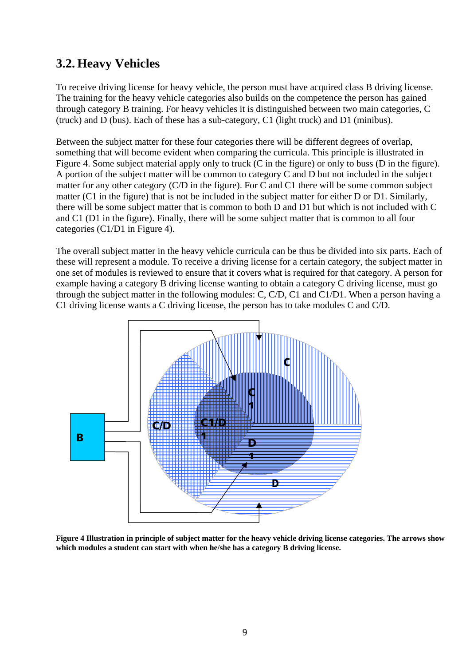### <span id="page-17-0"></span>**3.2. Heavy Vehicles**

To receive driving license for heavy vehicle, the person must have acquired class B driving license. The training for the heavy vehicle categories also builds on the competence the person has gained through category B training. For heavy vehicles it is distinguished between two main categories, C (truck) and D (bus). Each of these has a sub-category, C1 (light truck) and D1 (minibus).

Between the subject matter for these four categories there will be different degrees of overlap, something that will become evident when comparing the curricula. This principle is illustrated in Figure 4. Some subject material apply only to truck (C in the figure) or only to buss (D in the figure). A portion of the subject matter will be common to category C and D but not included in the subject matter for any other category (C/D in the figure). For C and C1 there will be some common subject matter (C1 in the figure) that is not be included in the subject matter for either D or D1. Similarly, there will be some subject matter that is common to both D and D1 but which is not included with C and C1 (D1 in the figure). Finally, there will be some subject matter that is common to all four categories (C1/D1 in Figure 4).

The overall subject matter in the heavy vehicle curricula can be thus be divided into six parts. Each of these will represent a module. To receive a driving license for a certain category, the subject matter in one set of modules is reviewed to ensure that it covers what is required for that category. A person for example having a category B driving license wanting to obtain a category C driving license, must go through the subject matter in the following modules: C, C/D, C1 and C1/D1. When a person having a C1 driving license wants a C driving license, the person has to take modules C and C/D.



**Figure 4 Illustration in principle of subject matter for the heavy vehicle driving license categories. The arrows show which modules a student can start with when he/she has a category B driving license.**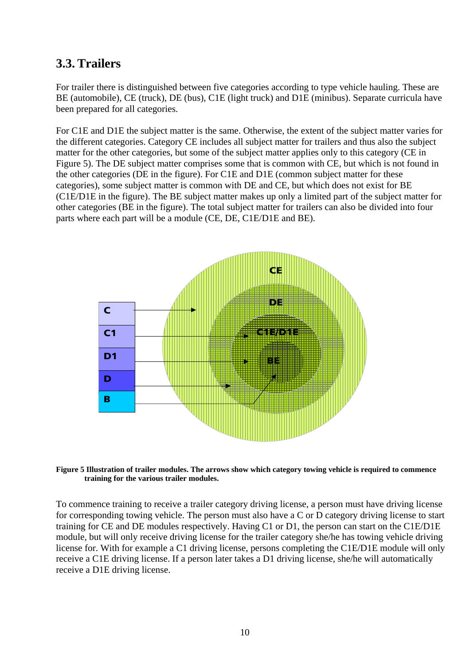### <span id="page-18-0"></span>**3.3. Trailers**

For trailer there is distinguished between five categories according to type vehicle hauling. These are BE (automobile), CE (truck), DE (bus), C1E (light truck) and D1E (minibus). Separate curricula have been prepared for all categories.

For C1E and D1E the subject matter is the same. Otherwise, the extent of the subject matter varies for the different categories. Category CE includes all subject matter for trailers and thus also the subject matter for the other categories, but some of the subject matter applies only to this category (CE in Figure 5). The DE subject matter comprises some that is common with CE, but which is not found in the other categories (DE in the figure). For C1E and D1E (common subject matter for these categories), some subject matter is common with DE and CE, but which does not exist for BE (C1E/D1E in the figure). The BE subject matter makes up only a limited part of the subject matter for other categories (BE in the figure). The total subject matter for trailers can also be divided into four parts where each part will be a module (CE, DE, C1E/D1E and BE).



**Figure 5 Illustration of trailer modules. The arrows show which category towing vehicle is required to commence training for the various trailer modules.** 

To commence training to receive a trailer category driving license, a person must have driving license for corresponding towing vehicle. The person must also have a C or D category driving license to start training for CE and DE modules respectively. Having C1 or D1, the person can start on the C1E/D1E module, but will only receive driving license for the trailer category she/he has towing vehicle driving license for. With for example a C1 driving license, persons completing the C1E/D1E module will only receive a C1E driving license. If a person later takes a D1 driving license, she/he will automatically receive a D1E driving license.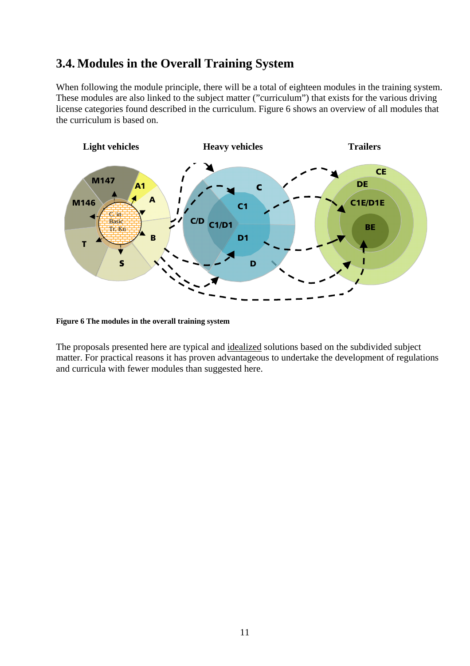### <span id="page-19-0"></span>**3.4. Modules in the Overall Training System**

When following the module principle, there will be a total of eighteen modules in the training system. These modules are also linked to the subject matter ("curriculum") that exists for the various driving license categories found described in the curriculum. Figure 6 shows an overview of all modules that the curriculum is based on.



**Figure 6 The modules in the overall training system** 

The proposals presented here are typical and idealized solutions based on the subdivided subject matter. For practical reasons it has proven advantageous to undertake the development of regulations and curricula with fewer modules than suggested here.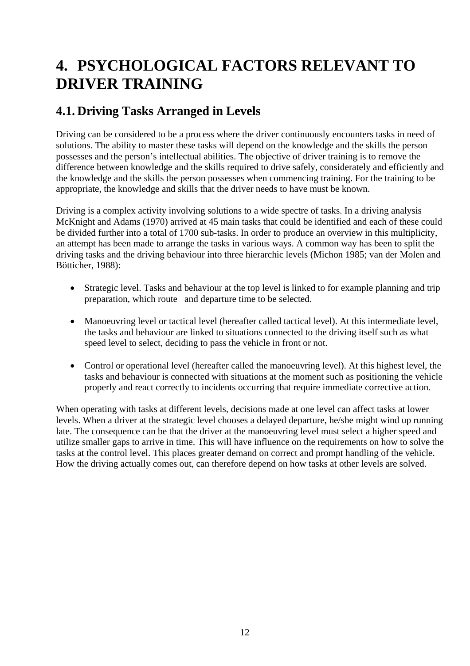## <span id="page-20-0"></span>**4. PSYCHOLOGICAL FACTORS RELEVANT TO DRIVER TRAINING**

## **4.1. Driving Tasks Arranged in Levels**

Driving can be considered to be a process where the driver continuously encounters tasks in need of solutions. The ability to master these tasks will depend on the knowledge and the skills the person possesses and the person's intellectual abilities. The objective of driver training is to remove the difference between knowledge and the skills required to drive safely, considerately and efficiently and the knowledge and the skills the person possesses when commencing training. For the training to be appropriate, the knowledge and skills that the driver needs to have must be known.

Driving is a complex activity involving solutions to a wide spectre of tasks. In a driving analysis McKnight and Adams (1970) arrived at 45 main tasks that could be identified and each of these could be divided further into a total of 1700 sub-tasks. In order to produce an overview in this multiplicity, an attempt has been made to arrange the tasks in various ways. A common way has been to split the driving tasks and the driving behaviour into three hierarchic levels (Michon 1985; van der Molen and Bötticher, 1988):

- Strategic level. Tasks and behaviour at the top level is linked to for example planning and trip preparation, which route and departure time to be selected.
- Manoeuvring level or tactical level (hereafter called tactical level). At this intermediate level, the tasks and behaviour are linked to situations connected to the driving itself such as what speed level to select, deciding to pass the vehicle in front or not.
- Control or operational level (hereafter called the manoeuvring level). At this highest level, the tasks and behaviour is connected with situations at the moment such as positioning the vehicle properly and react correctly to incidents occurring that require immediate corrective action.

When operating with tasks at different levels, decisions made at one level can affect tasks at lower levels. When a driver at the strategic level chooses a delayed departure, he/she might wind up running late. The consequence can be that the driver at the manoeuvring level must select a higher speed and utilize smaller gaps to arrive in time. This will have influence on the requirements on how to solve the tasks at the control level. This places greater demand on correct and prompt handling of the vehicle. How the driving actually comes out, can therefore depend on how tasks at other levels are solved.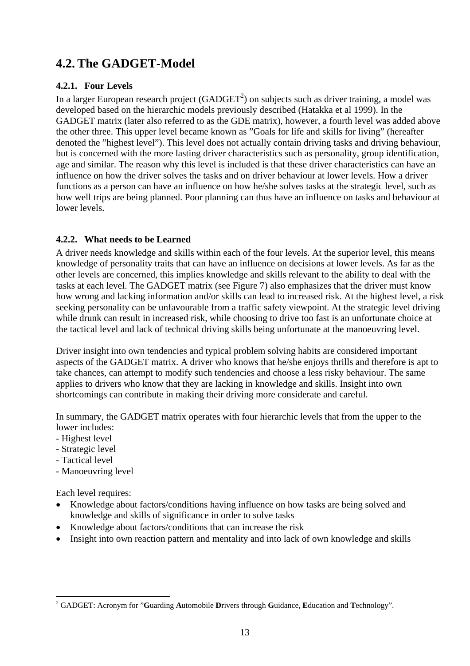## <span id="page-21-0"></span>**4.2. The GADGET-Model**

#### **4.2.1. Four Levels**

In a larger European research project (GADGET<sup>[2](#page-21-1)</sup>) on subjects such as driver training, a model was developed based on the hierarchic models previously described (Hatakka et al 1999). In the GADGET matrix (later also referred to as the GDE matrix), however, a fourth level was added above the other three. This upper level became known as "Goals for life and skills for living" (hereafter denoted the "highest level"). This level does not actually contain driving tasks and driving behaviour, but is concerned with the more lasting driver characteristics such as personality, group identification, age and similar. The reason why this level is included is that these driver characteristics can have an influence on how the driver solves the tasks and on driver behaviour at lower levels. How a driver functions as a person can have an influence on how he/she solves tasks at the strategic level, such as how well trips are being planned. Poor planning can thus have an influence on tasks and behaviour at lower levels.

#### **4.2.2. What needs to be Learned**

A driver needs knowledge and skills within each of the four levels. At the superior level, this means knowledge of personality traits that can have an influence on decisions at lower levels. As far as the other levels are concerned, this implies knowledge and skills relevant to the ability to deal with the tasks at each level. The GADGET matrix (see Figure 7) also emphasizes that the driver must know how wrong and lacking information and/or skills can lead to increased risk. At the highest level, a risk seeking personality can be unfavourable from a traffic safety viewpoint. At the strategic level driving while drunk can result in increased risk, while choosing to drive too fast is an unfortunate choice at the tactical level and lack of technical driving skills being unfortunate at the manoeuvring level.

Driver insight into own tendencies and typical problem solving habits are considered important aspects of the GADGET matrix. A driver who knows that he/she enjoys thrills and therefore is apt to take chances, can attempt to modify such tendencies and choose a less risky behaviour. The same applies to drivers who know that they are lacking in knowledge and skills. Insight into own shortcomings can contribute in making their driving more considerate and careful.

In summary, the GADGET matrix operates with four hierarchic levels that from the upper to the lower includes:

- Highest level
- Strategic level
- Tactical level

 $\overline{a}$ 

- Manoeuvring level

Each level requires:

- Knowledge about factors/conditions having influence on how tasks are being solved and knowledge and skills of significance in order to solve tasks
- Knowledge about factors/conditions that can increase the risk
- Insight into own reaction pattern and mentality and into lack of own knowledge and skills

<span id="page-21-1"></span><sup>2</sup> GADGET: Acronym for "**G**uarding **A**utomobile **D**rivers through **G**uidance, **E**ducation and **T**echnology".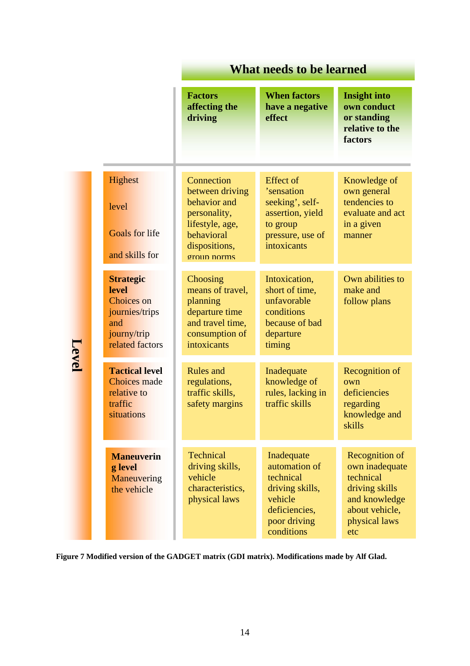|       |                                                                                                           | <b>What needs to be learned</b>                                                                                                |                                                                                                                       |                                                                                                                            |  |
|-------|-----------------------------------------------------------------------------------------------------------|--------------------------------------------------------------------------------------------------------------------------------|-----------------------------------------------------------------------------------------------------------------------|----------------------------------------------------------------------------------------------------------------------------|--|
|       |                                                                                                           | <b>Factors</b><br>affecting the<br>driving                                                                                     | <b>When factors</b><br>have a negative<br>effect                                                                      | <b>Insight into</b><br>own conduct<br>or standing<br>relative to the<br>factors                                            |  |
|       | Highest<br>level<br><b>Goals for life</b><br>and skills for                                               | Connection<br>between driving<br>behavior and<br>personality,<br>lifestyle, age,<br>behavioral<br>dispositions,<br>group norms | Effect of<br>'sensation<br>seeking', self-<br>assertion, yield<br>to group<br>pressure, use of<br>intoxicants         | Knowledge of<br>own general<br>tendencies to<br>evaluate and act<br>in a given<br>manner                                   |  |
|       | <b>Strategic</b><br><b>level</b><br>Choices on<br>journies/trips<br>and<br>journy/trip<br>related factors | Choosing<br>means of travel,<br>planning<br>departure time<br>and travel time,<br>consumption of<br>intoxicants                | Intoxication,<br>short of time,<br>unfavorable<br>conditions<br>because of bad<br>departure<br>timing                 | Own abilities to<br>make and<br>follow plans                                                                               |  |
| Level | <b>Tactical level</b><br><b>Choices</b> made<br>relative to<br>traffic<br>situations                      | <b>Rules</b> and<br>regulations,<br>traffic skills,<br>safety margins                                                          | Inadequate<br>knowledge of<br>rules, lacking in<br>traffic skills                                                     | Recognition of<br>own<br>deficiencies<br>regarding<br>knowledge and<br>skills                                              |  |
|       | <b>Maneuverin</b><br>g level<br>Maneuvering<br>the vehicle                                                | <b>Technical</b><br>driving skills,<br>vehicle<br>characteristics,<br>physical laws                                            | Inadequate<br>automation of<br>technical<br>driving skills,<br>vehicle<br>deficiencies,<br>poor driving<br>conditions | Recognition of<br>own inadequate<br>technical<br>driving skills<br>and knowledge<br>about vehicle,<br>physical laws<br>etc |  |

**Figure 7 Modified version of the GADGET matrix (GDI matrix). Modifications made by Alf Glad.**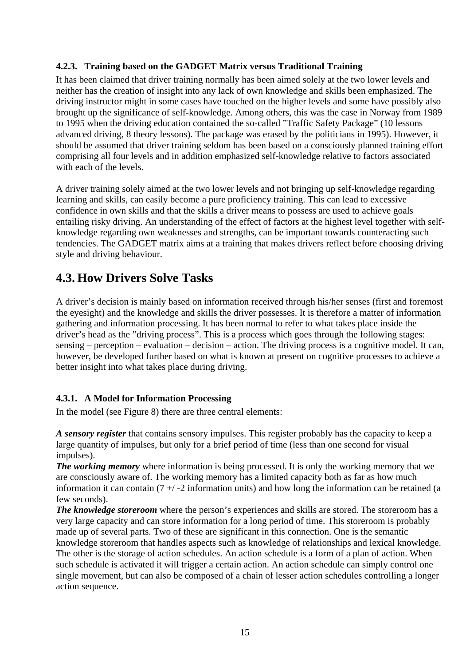#### <span id="page-23-0"></span>**4.2.3. Training based on the GADGET Matrix versus Traditional Training**

It has been claimed that driver training normally has been aimed solely at the two lower levels and neither has the creation of insight into any lack of own knowledge and skills been emphasized. The driving instructor might in some cases have touched on the higher levels and some have possibly also brought up the significance of self-knowledge. Among others, this was the case in Norway from 1989 to 1995 when the driving education contained the so-called "Traffic Safety Package" (10 lessons advanced driving, 8 theory lessons). The package was erased by the politicians in 1995). However, it should be assumed that driver training seldom has been based on a consciously planned training effort comprising all four levels and in addition emphasized self-knowledge relative to factors associated with each of the levels.

A driver training solely aimed at the two lower levels and not bringing up self-knowledge regarding learning and skills, can easily become a pure proficiency training. This can lead to excessive confidence in own skills and that the skills a driver means to possess are used to achieve goals entailing risky driving. An understanding of the effect of factors at the highest level together with selfknowledge regarding own weaknesses and strengths, can be important towards counteracting such tendencies. The GADGET matrix aims at a training that makes drivers reflect before choosing driving style and driving behaviour.

### **4.3. How Drivers Solve Tasks**

A driver's decision is mainly based on information received through his/her senses (first and foremost the eyesight) and the knowledge and skills the driver possesses. It is therefore a matter of information gathering and information processing. It has been normal to refer to what takes place inside the driver's head as the "driving process". This is a process which goes through the following stages: sensing – perception – evaluation – decision – action. The driving process is a cognitive model. It can, however, be developed further based on what is known at present on cognitive processes to achieve a better insight into what takes place during driving.

#### **4.3.1. A Model for Information Processing**

In the model (see Figure 8) there are three central elements:

*A sensory register* that contains sensory impulses. This register probably has the capacity to keep a large quantity of impulses, but only for a brief period of time (less than one second for visual impulses).

*The working memory* where information is being processed. It is only the working memory that we are consciously aware of. The working memory has a limited capacity both as far as how much information it can contain  $(7 + 1)$  -2 information units) and how long the information can be retained (a few seconds).

*The knowledge storeroom* where the person's experiences and skills are stored. The storeroom has a very large capacity and can store information for a long period of time. This storeroom is probably made up of several parts. Two of these are significant in this connection. One is the semantic knowledge storeroom that handles aspects such as knowledge of relationships and lexical knowledge. The other is the storage of action schedules. An action schedule is a form of a plan of action. When such schedule is activated it will trigger a certain action. An action schedule can simply control one single movement, but can also be composed of a chain of lesser action schedules controlling a longer action sequence.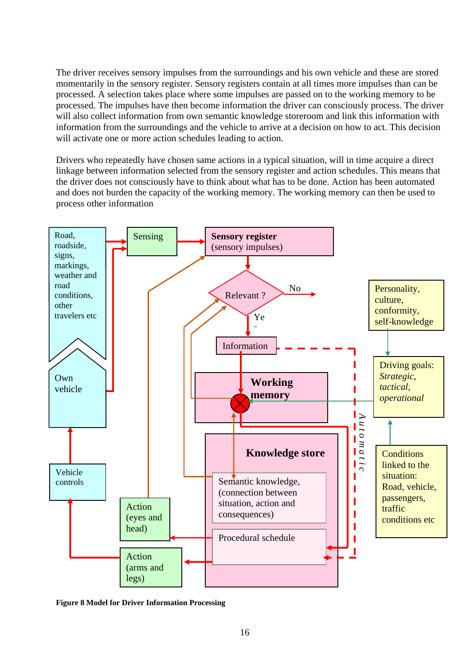The driver receives sensory impulses from the surroundings and his own vehicle and these are stored momentarily in the sensory register. Sensory registers contain at all times more impulses than can be processed. A selection takes place where some impulses are passed on to the working memory to be processed. The impulses have then become information the driver can consciously process. The driver will also collect information from own semantic knowledge storeroom and link this information with information from the surroundings and the vehicle to arrive at a decision on how to act. This decision will activate one or more action schedules leading to action.

Drivers who repeatedly have chosen same actions in a typical situation, will in time acquire a direct linkage between information selected from the sensory register and action schedules. This means that the driver does not consciously have to think about what has to be done. Action has been automated and does not burden the capacity of the working memory. The working memory can then be used to process other information



**Figure 8 Model for Driver Information Processing**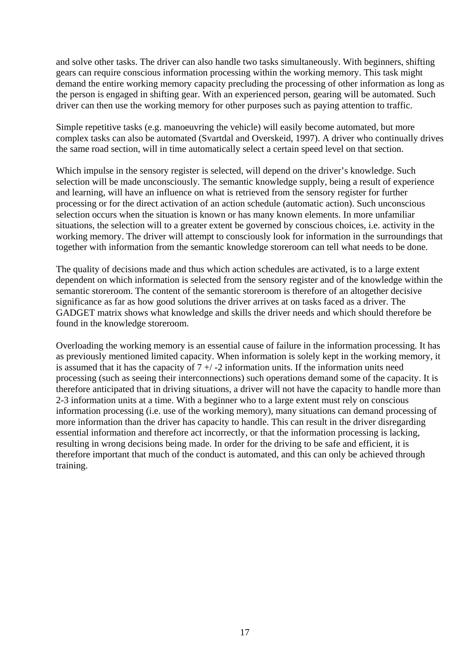and solve other tasks. The driver can also handle two tasks simultaneously. With beginners, shifting gears can require conscious information processing within the working memory. This task might demand the entire working memory capacity precluding the processing of other information as long as the person is engaged in shifting gear. With an experienced person, gearing will be automated. Such driver can then use the working memory for other purposes such as paying attention to traffic.

Simple repetitive tasks (e.g. manoeuvring the vehicle) will easily become automated, but more complex tasks can also be automated (Svartdal and Overskeid, 1997). A driver who continually drives the same road section, will in time automatically select a certain speed level on that section.

Which impulse in the sensory register is selected, will depend on the driver's knowledge. Such selection will be made unconsciously. The semantic knowledge supply, being a result of experience and learning, will have an influence on what is retrieved from the sensory register for further processing or for the direct activation of an action schedule (automatic action). Such unconscious selection occurs when the situation is known or has many known elements. In more unfamiliar situations, the selection will to a greater extent be governed by conscious choices, i.e. activity in the working memory. The driver will attempt to consciously look for information in the surroundings that together with information from the semantic knowledge storeroom can tell what needs to be done.

The quality of decisions made and thus which action schedules are activated, is to a large extent dependent on which information is selected from the sensory register and of the knowledge within the semantic storeroom. The content of the semantic storeroom is therefore of an altogether decisive significance as far as how good solutions the driver arrives at on tasks faced as a driver. The GADGET matrix shows what knowledge and skills the driver needs and which should therefore be found in the knowledge storeroom.

Overloading the working memory is an essential cause of failure in the information processing. It has as previously mentioned limited capacity. When information is solely kept in the working memory, it is assumed that it has the capacity of  $7 +/2$  information units. If the information units need processing (such as seeing their interconnections) such operations demand some of the capacity. It is therefore anticipated that in driving situations, a driver will not have the capacity to handle more than 2-3 information units at a time. With a beginner who to a large extent must rely on conscious information processing (i.e. use of the working memory), many situations can demand processing of more information than the driver has capacity to handle. This can result in the driver disregarding essential information and therefore act incorrectly, or that the information processing is lacking, resulting in wrong decisions being made. In order for the driving to be safe and efficient, it is therefore important that much of the conduct is automated, and this can only be achieved through training.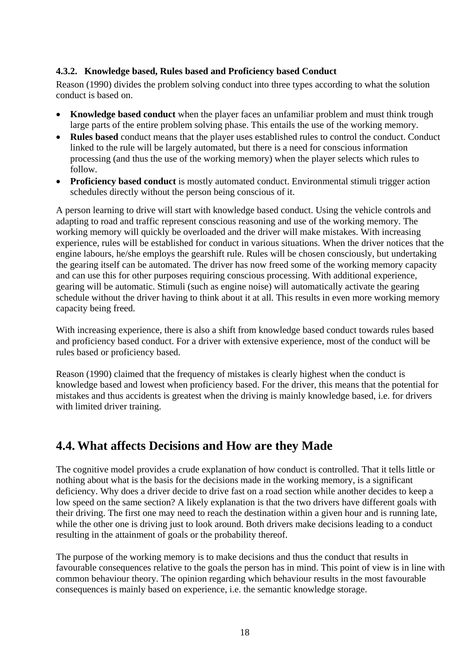#### <span id="page-26-0"></span>**4.3.2. Knowledge based, Rules based and Proficiency based Conduct**

Reason (1990) divides the problem solving conduct into three types according to what the solution conduct is based on.

- **Knowledge based conduct** when the player faces an unfamiliar problem and must think trough large parts of the entire problem solving phase. This entails the use of the working memory.
- **Rules based** conduct means that the player uses established rules to control the conduct. Conduct linked to the rule will be largely automated, but there is a need for conscious information processing (and thus the use of the working memory) when the player selects which rules to follow.
- **Proficiency based conduct** is mostly automated conduct. Environmental stimuli trigger action schedules directly without the person being conscious of it.

A person learning to drive will start with knowledge based conduct. Using the vehicle controls and adapting to road and traffic represent conscious reasoning and use of the working memory. The working memory will quickly be overloaded and the driver will make mistakes. With increasing experience, rules will be established for conduct in various situations. When the driver notices that the engine labours, he/she employs the gearshift rule. Rules will be chosen consciously, but undertaking the gearing itself can be automated. The driver has now freed some of the working memory capacity and can use this for other purposes requiring conscious processing. With additional experience, gearing will be automatic. Stimuli (such as engine noise) will automatically activate the gearing schedule without the driver having to think about it at all. This results in even more working memory capacity being freed.

With increasing experience, there is also a shift from knowledge based conduct towards rules based and proficiency based conduct. For a driver with extensive experience, most of the conduct will be rules based or proficiency based.

Reason (1990) claimed that the frequency of mistakes is clearly highest when the conduct is knowledge based and lowest when proficiency based. For the driver, this means that the potential for mistakes and thus accidents is greatest when the driving is mainly knowledge based, i.e. for drivers with limited driver training.

### **4.4. What affects Decisions and How are they Made**

The cognitive model provides a crude explanation of how conduct is controlled. That it tells little or nothing about what is the basis for the decisions made in the working memory, is a significant deficiency. Why does a driver decide to drive fast on a road section while another decides to keep a low speed on the same section? A likely explanation is that the two drivers have different goals with their driving. The first one may need to reach the destination within a given hour and is running late, while the other one is driving just to look around. Both drivers make decisions leading to a conduct resulting in the attainment of goals or the probability thereof.

The purpose of the working memory is to make decisions and thus the conduct that results in favourable consequences relative to the goals the person has in mind. This point of view is in line with common behaviour theory. The opinion regarding which behaviour results in the most favourable consequences is mainly based on experience, i.e. the semantic knowledge storage.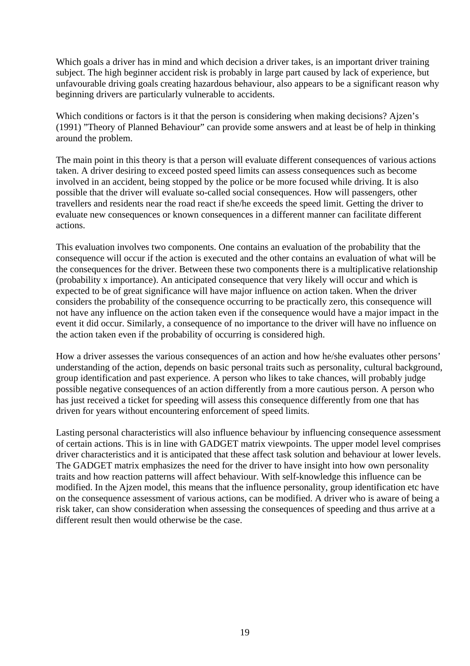Which goals a driver has in mind and which decision a driver takes, is an important driver training subject. The high beginner accident risk is probably in large part caused by lack of experience, but unfavourable driving goals creating hazardous behaviour, also appears to be a significant reason why beginning drivers are particularly vulnerable to accidents.

Which conditions or factors is it that the person is considering when making decisions? Ajzen's (1991) "Theory of Planned Behaviour" can provide some answers and at least be of help in thinking around the problem.

The main point in this theory is that a person will evaluate different consequences of various actions taken. A driver desiring to exceed posted speed limits can assess consequences such as become involved in an accident, being stopped by the police or be more focused while driving. It is also possible that the driver will evaluate so-called social consequences. How will passengers, other travellers and residents near the road react if she/he exceeds the speed limit. Getting the driver to evaluate new consequences or known consequences in a different manner can facilitate different actions.

This evaluation involves two components. One contains an evaluation of the probability that the consequence will occur if the action is executed and the other contains an evaluation of what will be the consequences for the driver. Between these two components there is a multiplicative relationship (probability x importance). An anticipated consequence that very likely will occur and which is expected to be of great significance will have major influence on action taken. When the driver considers the probability of the consequence occurring to be practically zero, this consequence will not have any influence on the action taken even if the consequence would have a major impact in the event it did occur. Similarly, a consequence of no importance to the driver will have no influence on the action taken even if the probability of occurring is considered high.

How a driver assesses the various consequences of an action and how he/she evaluates other persons' understanding of the action, depends on basic personal traits such as personality, cultural background, group identification and past experience. A person who likes to take chances, will probably judge possible negative consequences of an action differently from a more cautious person. A person who has just received a ticket for speeding will assess this consequence differently from one that has driven for years without encountering enforcement of speed limits.

Lasting personal characteristics will also influence behaviour by influencing consequence assessment of certain actions. This is in line with GADGET matrix viewpoints. The upper model level comprises driver characteristics and it is anticipated that these affect task solution and behaviour at lower levels. The GADGET matrix emphasizes the need for the driver to have insight into how own personality traits and how reaction patterns will affect behaviour. With self-knowledge this influence can be modified. In the Ajzen model, this means that the influence personality, group identification etc have on the consequence assessment of various actions, can be modified. A driver who is aware of being a risk taker, can show consideration when assessing the consequences of speeding and thus arrive at a different result then would otherwise be the case.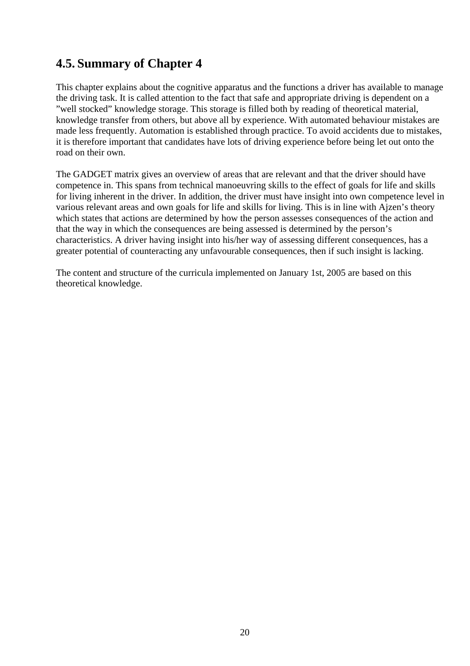## <span id="page-28-0"></span>**4.5. Summary of Chapter 4**

This chapter explains about the cognitive apparatus and the functions a driver has available to manage the driving task. It is called attention to the fact that safe and appropriate driving is dependent on a "well stocked" knowledge storage. This storage is filled both by reading of theoretical material, knowledge transfer from others, but above all by experience. With automated behaviour mistakes are made less frequently. Automation is established through practice. To avoid accidents due to mistakes, it is therefore important that candidates have lots of driving experience before being let out onto the road on their own.

The GADGET matrix gives an overview of areas that are relevant and that the driver should have competence in. This spans from technical manoeuvring skills to the effect of goals for life and skills for living inherent in the driver. In addition, the driver must have insight into own competence level in various relevant areas and own goals for life and skills for living. This is in line with Ajzen's theory which states that actions are determined by how the person assesses consequences of the action and that the way in which the consequences are being assessed is determined by the person's characteristics. A driver having insight into his/her way of assessing different consequences, has a greater potential of counteracting any unfavourable consequences, then if such insight is lacking.

The content and structure of the curricula implemented on January 1st, 2005 are based on this theoretical knowledge.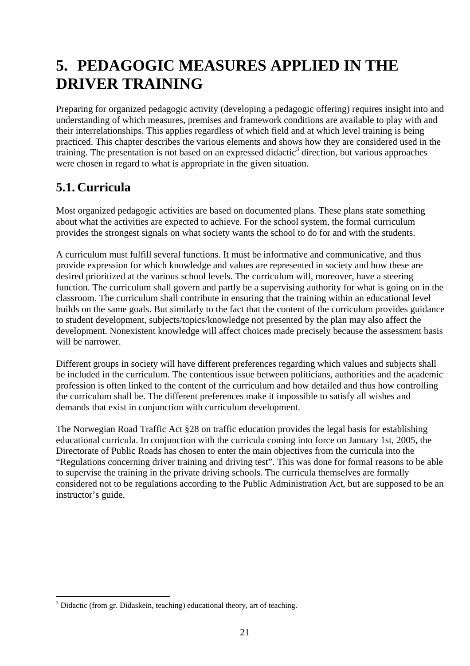## <span id="page-29-0"></span>**5. PEDAGOGIC MEASURES APPLIED IN THE DRIVER TRAINING**

Preparing for organized pedagogic activity (developing a pedagogic offering) requires insight into and understanding of which measures, premises and framework conditions are available to play with and their interrelationships. This applies regardless of which field and at which level training is being practiced. This chapter describes the various elements and shows how they are considered used in the training. The presentation is not based on an expressed didactic<sup>[3](#page-29-1)</sup> direction, but various approaches were chosen in regard to what is appropriate in the given situation.

## **5.1. Curricula**

 $\overline{a}$ 

Most organized pedagogic activities are based on documented plans. These plans state something about what the activities are expected to achieve. For the school system, the formal curriculum provides the strongest signals on what society wants the school to do for and with the students.

A curriculum must fulfill several functions. It must be informative and communicative, and thus provide expression for which knowledge and values are represented in society and how these are desired prioritized at the various school levels. The curriculum will, moreover, have a steering function. The curriculum shall govern and partly be a supervising authority for what is going on in the classroom. The curriculum shall contribute in ensuring that the training within an educational level builds on the same goals. But similarly to the fact that the content of the curriculum provides guidance to student development, subjects/topics/knowledge not presented by the plan may also affect the development. Nonexistent knowledge will affect choices made precisely because the assessment basis will be narrower.

Different groups in society will have different preferences regarding which values and subjects shall be included in the curriculum. The contentious issue between politicians, authorities and the academic profession is often linked to the content of the curriculum and how detailed and thus how controlling the curriculum shall be. The different preferences make it impossible to satisfy all wishes and demands that exist in conjunction with curriculum development.

The Norwegian Road Traffic Act §28 on traffic education provides the legal basis for establishing educational curricula. In conjunction with the curricula coming into force on January 1st, 2005, the Directorate of Public Roads has chosen to enter the main objectives from the curricula into the "Regulations concerning driver training and driving test". This was done for formal reasons to be able to supervise the training in the private driving schools. The curricula themselves are formally considered not to be regulations according to the Public Administration Act, but are supposed to be an instructor's guide.

<span id="page-29-1"></span><sup>&</sup>lt;sup>3</sup> Didactic (from gr. Didaskein, teaching) educational theory, art of teaching.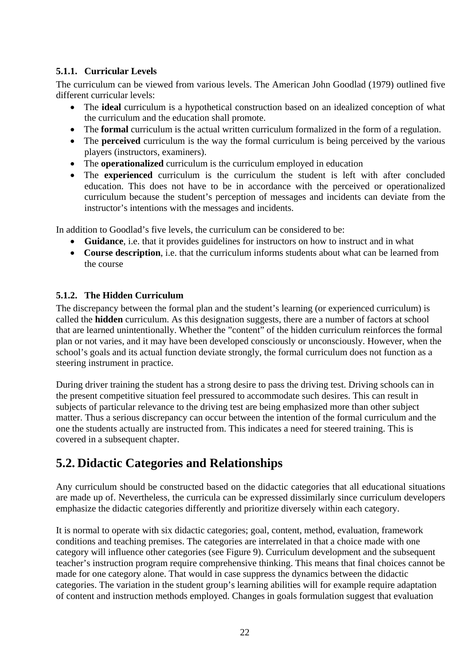#### <span id="page-30-0"></span>**5.1.1. Curricular Levels**

The curriculum can be viewed from various levels. The American John Goodlad (1979) outlined five different curricular levels:

- The **ideal** curriculum is a hypothetical construction based on an idealized conception of what the curriculum and the education shall promote.
- The **formal** curriculum is the actual written curriculum formalized in the form of a regulation.
- The **perceived** curriculum is the way the formal curriculum is being perceived by the various players (instructors, examiners).
- The **operationalized** curriculum is the curriculum employed in education
- The **experienced** curriculum is the curriculum the student is left with after concluded education. This does not have to be in accordance with the perceived or operationalized curriculum because the student's perception of messages and incidents can deviate from the instructor's intentions with the messages and incidents.

In addition to Goodlad's five levels, the curriculum can be considered to be:

- **Guidance**, i.e. that it provides guidelines for instructors on how to instruct and in what
- **Course description**, i.e. that the curriculum informs students about what can be learned from the course

#### **5.1.2. The Hidden Curriculum**

The discrepancy between the formal plan and the student's learning (or experienced curriculum) is called the **hidden** curriculum. As this designation suggests, there are a number of factors at school that are learned unintentionally. Whether the "content" of the hidden curriculum reinforces the formal plan or not varies, and it may have been developed consciously or unconsciously. However, when the school's goals and its actual function deviate strongly, the formal curriculum does not function as a steering instrument in practice.

During driver training the student has a strong desire to pass the driving test. Driving schools can in the present competitive situation feel pressured to accommodate such desires. This can result in subjects of particular relevance to the driving test are being emphasized more than other subject matter. Thus a serious discrepancy can occur between the intention of the formal curriculum and the one the students actually are instructed from. This indicates a need for steered training. This is covered in a subsequent chapter.

### **5.2. Didactic Categories and Relationships**

Any curriculum should be constructed based on the didactic categories that all educational situations are made up of. Nevertheless, the curricula can be expressed dissimilarly since curriculum developers emphasize the didactic categories differently and prioritize diversely within each category.

It is normal to operate with six didactic categories; goal, content, method, evaluation, framework conditions and teaching premises. The categories are interrelated in that a choice made with one category will influence other categories (see Figure 9). Curriculum development and the subsequent teacher's instruction program require comprehensive thinking. This means that final choices cannot be made for one category alone. That would in case suppress the dynamics between the didactic categories. The variation in the student group's learning abilities will for example require adaptation of content and instruction methods employed. Changes in goals formulation suggest that evaluation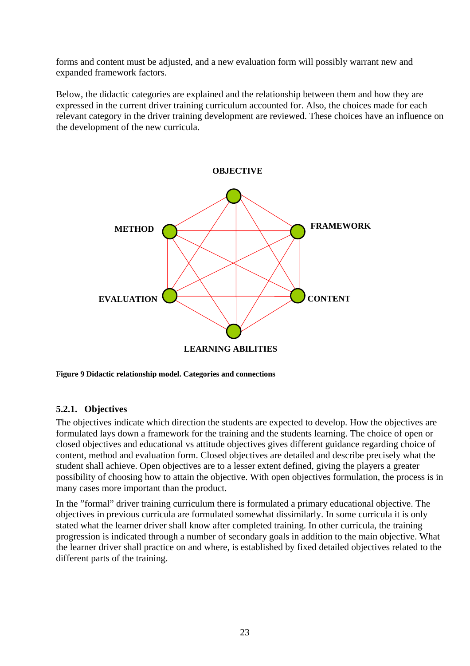<span id="page-31-0"></span>forms and content must be adjusted, and a new evaluation form will possibly warrant new and expanded framework factors.

Below, the didactic categories are explained and the relationship between them and how they are expressed in the current driver training curriculum accounted for. Also, the choices made for each relevant category in the driver training development are reviewed. These choices have an influence on the development of the new curricula.



**Figure 9 Didactic relationship model. Categories and connections** 

#### **5.2.1. Objectives**

The objectives indicate which direction the students are expected to develop. How the objectives are formulated lays down a framework for the training and the students learning. The choice of open or closed objectives and educational vs attitude objectives gives different guidance regarding choice of content, method and evaluation form. Closed objectives are detailed and describe precisely what the student shall achieve. Open objectives are to a lesser extent defined, giving the players a greater possibility of choosing how to attain the objective. With open objectives formulation, the process is in many cases more important than the product.

In the "formal" driver training curriculum there is formulated a primary educational objective. The objectives in previous curricula are formulated somewhat dissimilarly. In some curricula it is only stated what the learner driver shall know after completed training. In other curricula, the training progression is indicated through a number of secondary goals in addition to the main objective. What the learner driver shall practice on and where, is established by fixed detailed objectives related to the different parts of the training.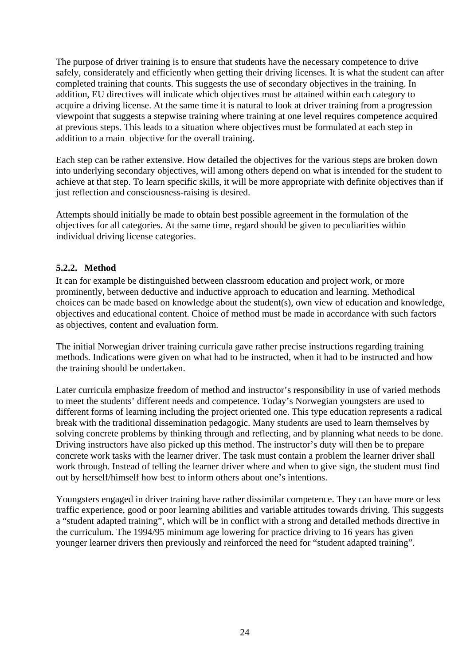<span id="page-32-0"></span>The purpose of driver training is to ensure that students have the necessary competence to drive safely, considerately and efficiently when getting their driving licenses. It is what the student can after completed training that counts. This suggests the use of secondary objectives in the training. In addition, EU directives will indicate which objectives must be attained within each category to acquire a driving license. At the same time it is natural to look at driver training from a progression viewpoint that suggests a stepwise training where training at one level requires competence acquired at previous steps. This leads to a situation where objectives must be formulated at each step in addition to a main objective for the overall training.

Each step can be rather extensive. How detailed the objectives for the various steps are broken down into underlying secondary objectives, will among others depend on what is intended for the student to achieve at that step. To learn specific skills, it will be more appropriate with definite objectives than if just reflection and consciousness-raising is desired.

Attempts should initially be made to obtain best possible agreement in the formulation of the objectives for all categories. At the same time, regard should be given to peculiarities within individual driving license categories.

#### **5.2.2. Method**

It can for example be distinguished between classroom education and project work, or more prominently, between deductive and inductive approach to education and learning. Methodical choices can be made based on knowledge about the student(s), own view of education and knowledge, objectives and educational content. Choice of method must be made in accordance with such factors as objectives, content and evaluation form.

The initial Norwegian driver training curricula gave rather precise instructions regarding training methods. Indications were given on what had to be instructed, when it had to be instructed and how the training should be undertaken.

Later curricula emphasize freedom of method and instructor's responsibility in use of varied methods to meet the students' different needs and competence. Today's Norwegian youngsters are used to different forms of learning including the project oriented one. This type education represents a radical break with the traditional dissemination pedagogic. Many students are used to learn themselves by solving concrete problems by thinking through and reflecting, and by planning what needs to be done. Driving instructors have also picked up this method. The instructor's duty will then be to prepare concrete work tasks with the learner driver. The task must contain a problem the learner driver shall work through. Instead of telling the learner driver where and when to give sign, the student must find out by herself/himself how best to inform others about one's intentions.

Youngsters engaged in driver training have rather dissimilar competence. They can have more or less traffic experience, good or poor learning abilities and variable attitudes towards driving. This suggests a "student adapted training", which will be in conflict with a strong and detailed methods directive in the curriculum. The 1994/95 minimum age lowering for practice driving to 16 years has given younger learner drivers then previously and reinforced the need for "student adapted training".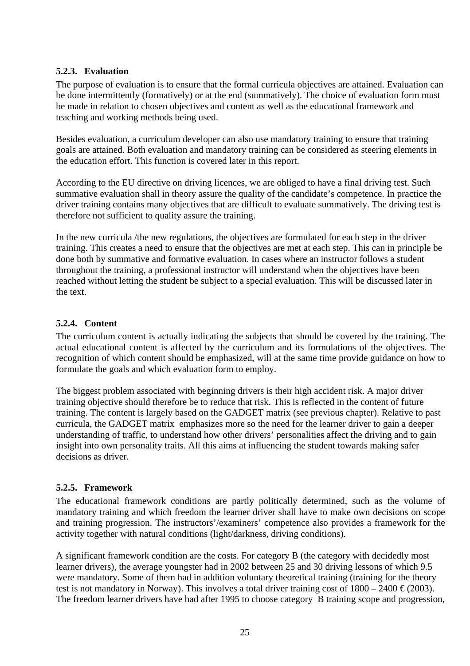#### <span id="page-33-0"></span>**5.2.3. Evaluation**

The purpose of evaluation is to ensure that the formal curricula objectives are attained. Evaluation can be done intermittently (formatively) or at the end (summatively). The choice of evaluation form must be made in relation to chosen objectives and content as well as the educational framework and teaching and working methods being used.

Besides evaluation, a curriculum developer can also use mandatory training to ensure that training goals are attained. Both evaluation and mandatory training can be considered as steering elements in the education effort. This function is covered later in this report.

According to the EU directive on driving licences, we are obliged to have a final driving test. Such summative evaluation shall in theory assure the quality of the candidate's competence. In practice the driver training contains many objectives that are difficult to evaluate summatively. The driving test is therefore not sufficient to quality assure the training.

In the new curricula /the new regulations, the objectives are formulated for each step in the driver training. This creates a need to ensure that the objectives are met at each step. This can in principle be done both by summative and formative evaluation. In cases where an instructor follows a student throughout the training, a professional instructor will understand when the objectives have been reached without letting the student be subject to a special evaluation. This will be discussed later in the text.

#### **5.2.4. Content**

The curriculum content is actually indicating the subjects that should be covered by the training. The actual educational content is affected by the curriculum and its formulations of the objectives. The recognition of which content should be emphasized, will at the same time provide guidance on how to formulate the goals and which evaluation form to employ.

The biggest problem associated with beginning drivers is their high accident risk. A major driver training objective should therefore be to reduce that risk. This is reflected in the content of future training. The content is largely based on the GADGET matrix (see previous chapter). Relative to past curricula, the GADGET matrix emphasizes more so the need for the learner driver to gain a deeper understanding of traffic, to understand how other drivers' personalities affect the driving and to gain insight into own personality traits. All this aims at influencing the student towards making safer decisions as driver.

#### **5.2.5. Framework**

The educational framework conditions are partly politically determined, such as the volume of mandatory training and which freedom the learner driver shall have to make own decisions on scope and training progression. The instructors'/examiners' competence also provides a framework for the activity together with natural conditions (light/darkness, driving conditions).

A significant framework condition are the costs. For category B (the category with decidedly most learner drivers), the average youngster had in 2002 between 25 and 30 driving lessons of which 9.5 were mandatory. Some of them had in addition voluntary theoretical training (training for the theory test is not mandatory in Norway). This involves a total driver training cost of  $1800 - 2400 \in (2003)$ . The freedom learner drivers have had after 1995 to choose category B training scope and progression,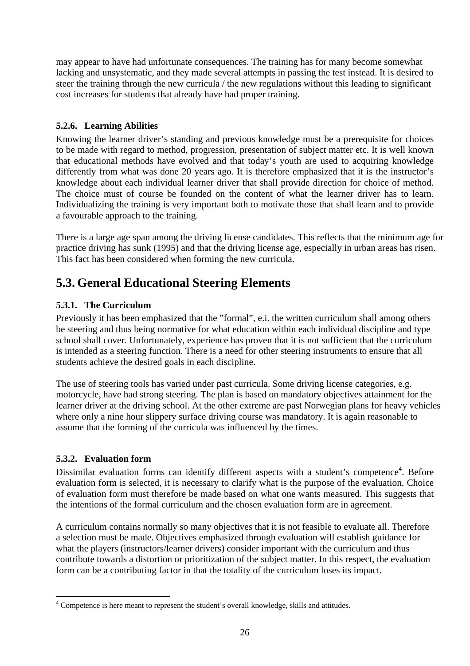<span id="page-34-0"></span>may appear to have had unfortunate consequences. The training has for many become somewhat lacking and unsystematic, and they made several attempts in passing the test instead. It is desired to steer the training through the new curricula / the new regulations without this leading to significant cost increases for students that already have had proper training.

#### **5.2.6. Learning Abilities**

Knowing the learner driver's standing and previous knowledge must be a prerequisite for choices to be made with regard to method, progression, presentation of subject matter etc. It is well known that educational methods have evolved and that today's youth are used to acquiring knowledge differently from what was done 20 years ago. It is therefore emphasized that it is the instructor's knowledge about each individual learner driver that shall provide direction for choice of method. The choice must of course be founded on the content of what the learner driver has to learn. Individualizing the training is very important both to motivate those that shall learn and to provide a favourable approach to the training.

There is a large age span among the driving license candidates. This reflects that the minimum age for practice driving has sunk (1995) and that the driving license age, especially in urban areas has risen. This fact has been considered when forming the new curricula.

### **5.3. General Educational Steering Elements**

#### **5.3.1. The Curriculum**

Previously it has been emphasized that the "formal", e.i. the written curriculum shall among others be steering and thus being normative for what education within each individual discipline and type school shall cover. Unfortunately, experience has proven that it is not sufficient that the curriculum is intended as a steering function. There is a need for other steering instruments to ensure that all students achieve the desired goals in each discipline.

The use of steering tools has varied under past curricula. Some driving license categories, e.g. motorcycle, have had strong steering. The plan is based on mandatory objectives attainment for the learner driver at the driving school. At the other extreme are past Norwegian plans for heavy vehicles where only a nine hour slippery surface driving course was mandatory. It is again reasonable to assume that the forming of the curricula was influenced by the times.

#### **5.3.2. Evaluation form**

 $\overline{a}$ 

Dissimilar evaluation forms can identify different aspects with a student's competence<sup>4</sup>[.](#page-34-1) Before evaluation form is selected, it is necessary to clarify what is the purpose of the evaluation. Choice of evaluation form must therefore be made based on what one wants measured. This suggests that the intentions of the formal curriculum and the chosen evaluation form are in agreement.

A curriculum contains normally so many objectives that it is not feasible to evaluate all. Therefore a selection must be made. Objectives emphasized through evaluation will establish guidance for what the players (instructors/learner drivers) consider important with the curriculum and thus contribute towards a distortion or prioritization of the subject matter. In this respect, the evaluation form can be a contributing factor in that the totality of the curriculum loses its impact.

<span id="page-34-1"></span><sup>&</sup>lt;sup>4</sup> Competence is here meant to represent the student's overall knowledge, skills and attitudes.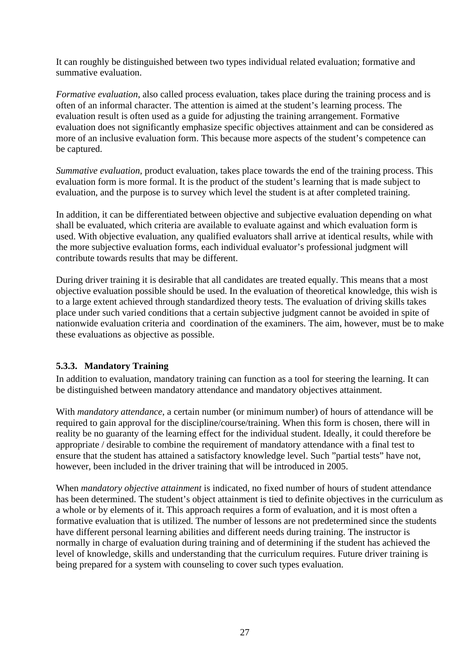<span id="page-35-0"></span>It can roughly be distinguished between two types individual related evaluation; formative and summative evaluation.

*Formative evaluation*, also called process evaluation, takes place during the training process and is often of an informal character. The attention is aimed at the student's learning process. The evaluation result is often used as a guide for adjusting the training arrangement. Formative evaluation does not significantly emphasize specific objectives attainment and can be considered as more of an inclusive evaluation form. This because more aspects of the student's competence can be captured.

*Summative evaluation*, product evaluation, takes place towards the end of the training process. This evaluation form is more formal. It is the product of the student's learning that is made subject to evaluation, and the purpose is to survey which level the student is at after completed training.

In addition, it can be differentiated between objective and subjective evaluation depending on what shall be evaluated, which criteria are available to evaluate against and which evaluation form is used. With objective evaluation, any qualified evaluators shall arrive at identical results, while with the more subjective evaluation forms, each individual evaluator's professional judgment will contribute towards results that may be different.

During driver training it is desirable that all candidates are treated equally. This means that a most objective evaluation possible should be used. In the evaluation of theoretical knowledge, this wish is to a large extent achieved through standardized theory tests. The evaluation of driving skills takes place under such varied conditions that a certain subjective judgment cannot be avoided in spite of nationwide evaluation criteria and coordination of the examiners. The aim, however, must be to make these evaluations as objective as possible.

#### **5.3.3. Mandatory Training**

In addition to evaluation, mandatory training can function as a tool for steering the learning. It can be distinguished between mandatory attendance and mandatory objectives attainment.

With *mandatory attendance*, a certain number (or minimum number) of hours of attendance will be required to gain approval for the discipline/course/training. When this form is chosen, there will in reality be no guaranty of the learning effect for the individual student. Ideally, it could therefore be appropriate / desirable to combine the requirement of mandatory attendance with a final test to ensure that the student has attained a satisfactory knowledge level. Such "partial tests" have not, however, been included in the driver training that will be introduced in 2005.

When *mandatory objective attainment* is indicated, no fixed number of hours of student attendance has been determined. The student's object attainment is tied to definite objectives in the curriculum as a whole or by elements of it. This approach requires a form of evaluation, and it is most often a formative evaluation that is utilized. The number of lessons are not predetermined since the students have different personal learning abilities and different needs during training. The instructor is normally in charge of evaluation during training and of determining if the student has achieved the level of knowledge, skills and understanding that the curriculum requires. Future driver training is being prepared for a system with counseling to cover such types evaluation.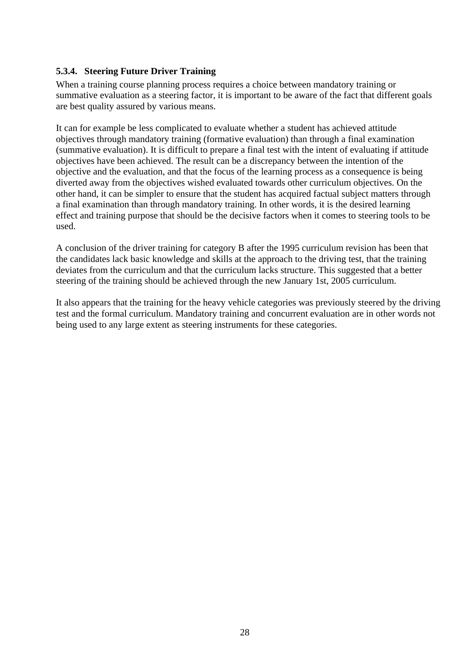#### <span id="page-36-0"></span>**5.3.4. Steering Future Driver Training**

When a training course planning process requires a choice between mandatory training or summative evaluation as a steering factor, it is important to be aware of the fact that different goals are best quality assured by various means.

It can for example be less complicated to evaluate whether a student has achieved attitude objectives through mandatory training (formative evaluation) than through a final examination (summative evaluation). It is difficult to prepare a final test with the intent of evaluating if attitude objectives have been achieved. The result can be a discrepancy between the intention of the objective and the evaluation, and that the focus of the learning process as a consequence is being diverted away from the objectives wished evaluated towards other curriculum objectives. On the other hand, it can be simpler to ensure that the student has acquired factual subject matters through a final examination than through mandatory training. In other words, it is the desired learning effect and training purpose that should be the decisive factors when it comes to steering tools to be used.

A conclusion of the driver training for category B after the 1995 curriculum revision has been that the candidates lack basic knowledge and skills at the approach to the driving test, that the training deviates from the curriculum and that the curriculum lacks structure. This suggested that a better steering of the training should be achieved through the new January 1st, 2005 curriculum.

It also appears that the training for the heavy vehicle categories was previously steered by the driving test and the formal curriculum. Mandatory training and concurrent evaluation are in other words not being used to any large extent as steering instruments for these categories.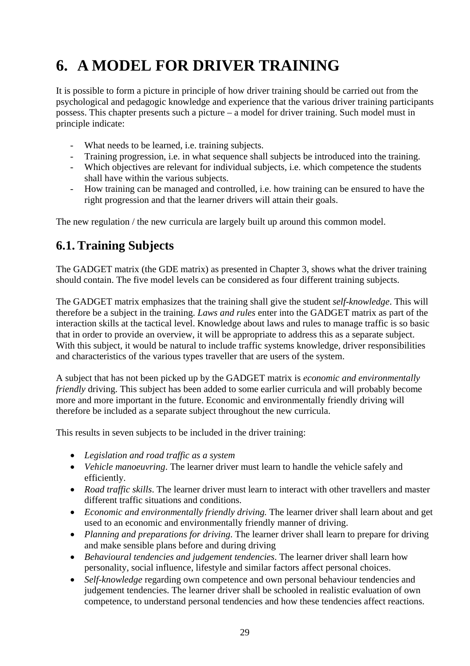## <span id="page-37-0"></span>**6. A MODEL FOR DRIVER TRAINING**

It is possible to form a picture in principle of how driver training should be carried out from the psychological and pedagogic knowledge and experience that the various driver training participants possess. This chapter presents such a picture – a model for driver training. Such model must in principle indicate:

- What needs to be learned, i.e. training subjects.
- Training progression, i.e. in what sequence shall subjects be introduced into the training.
- Which objectives are relevant for individual subjects, i.e. which competence the students shall have within the various subjects.
- How training can be managed and controlled, i.e. how training can be ensured to have the right progression and that the learner drivers will attain their goals.

The new regulation / the new curricula are largely built up around this common model.

## **6.1. Training Subjects**

The GADGET matrix (the GDE matrix) as presented in Chapter 3, shows what the driver training should contain. The five model levels can be considered as four different training subjects.

The GADGET matrix emphasizes that the training shall give the student *self-knowledge*. This will therefore be a subject in the training. *Laws and rules* enter into the GADGET matrix as part of the interaction skills at the tactical level. Knowledge about laws and rules to manage traffic is so basic that in order to provide an overview, it will be appropriate to address this as a separate subject. With this subject, it would be natural to include traffic systems knowledge, driver responsibilities and characteristics of the various types traveller that are users of the system.

A subject that has not been picked up by the GADGET matrix is *economic and environmentally friendly* driving. This subject has been added to some earlier curricula and will probably become more and more important in the future. Economic and environmentally friendly driving will therefore be included as a separate subject throughout the new curricula.

This results in seven subjects to be included in the driver training:

- *Legislation and road traffic as a system*
- *Vehicle manoeuvring*. The learner driver must learn to handle the vehicle safely and efficiently.
- *Road traffic skills*. The learner driver must learn to interact with other travellers and master different traffic situations and conditions.
- *Economic and environmentally friendly driving.* The learner driver shall learn about and get used to an economic and environmentally friendly manner of driving.
- *Planning and preparations for driving*. The learner driver shall learn to prepare for driving and make sensible plans before and during driving
- *Behavioural tendencies and judgement tendencies*. The learner driver shall learn how personality, social influence, lifestyle and similar factors affect personal choices.
- *Self-knowledge* regarding own competence and own personal behaviour tendencies and judgement tendencies. The learner driver shall be schooled in realistic evaluation of own competence, to understand personal tendencies and how these tendencies affect reactions.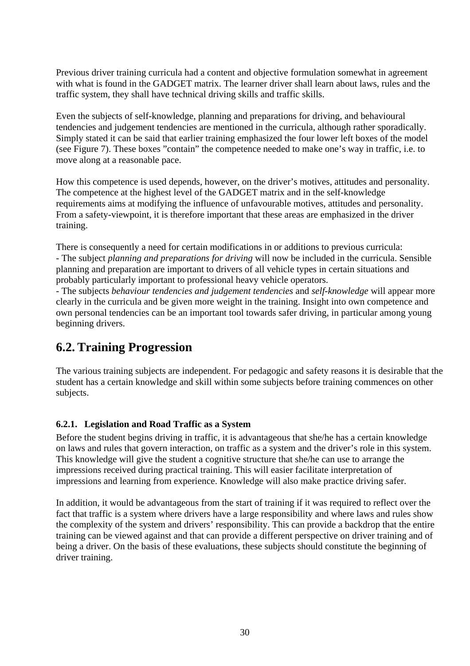<span id="page-38-0"></span>Previous driver training curricula had a content and objective formulation somewhat in agreement with what is found in the GADGET matrix. The learner driver shall learn about laws, rules and the traffic system, they shall have technical driving skills and traffic skills.

Even the subjects of self-knowledge, planning and preparations for driving, and behavioural tendencies and judgement tendencies are mentioned in the curricula, although rather sporadically. Simply stated it can be said that earlier training emphasized the four lower left boxes of the model (see Figure 7). These boxes "contain" the competence needed to make one's way in traffic, i.e. to move along at a reasonable pace.

How this competence is used depends, however, on the driver's motives, attitudes and personality. The competence at the highest level of the GADGET matrix and in the self-knowledge requirements aims at modifying the influence of unfavourable motives, attitudes and personality. From a safety-viewpoint, it is therefore important that these areas are emphasized in the driver training.

There is consequently a need for certain modifications in or additions to previous curricula: - The subject *planning and preparations for driving* will now be included in the curricula. Sensible planning and preparation are important to drivers of all vehicle types in certain situations and probably particularly important to professional heavy vehicle operators.

- The subjects *behaviour tendencies and judgement tendencies* and *self-knowledge* will appear more clearly in the curricula and be given more weight in the training. Insight into own competence and own personal tendencies can be an important tool towards safer driving, in particular among young beginning drivers.

### **6.2. Training Progression**

The various training subjects are independent. For pedagogic and safety reasons it is desirable that the student has a certain knowledge and skill within some subjects before training commences on other subjects.

#### **6.2.1. Legislation and Road Traffic as a System**

Before the student begins driving in traffic, it is advantageous that she/he has a certain knowledge on laws and rules that govern interaction, on traffic as a system and the driver's role in this system. This knowledge will give the student a cognitive structure that she/he can use to arrange the impressions received during practical training. This will easier facilitate interpretation of impressions and learning from experience. Knowledge will also make practice driving safer.

In addition, it would be advantageous from the start of training if it was required to reflect over the fact that traffic is a system where drivers have a large responsibility and where laws and rules show the complexity of the system and drivers' responsibility. This can provide a backdrop that the entire training can be viewed against and that can provide a different perspective on driver training and of being a driver. On the basis of these evaluations, these subjects should constitute the beginning of driver training.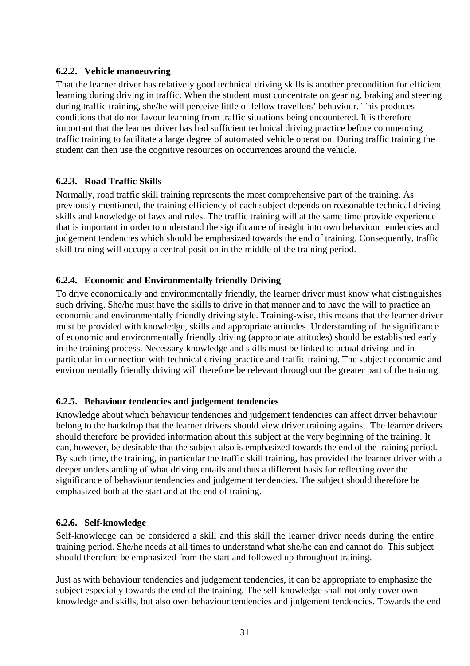#### <span id="page-39-0"></span>**6.2.2. Vehicle manoeuvring**

That the learner driver has relatively good technical driving skills is another precondition for efficient learning during driving in traffic. When the student must concentrate on gearing, braking and steering during traffic training, she/he will perceive little of fellow travellers' behaviour. This produces conditions that do not favour learning from traffic situations being encountered. It is therefore important that the learner driver has had sufficient technical driving practice before commencing traffic training to facilitate a large degree of automated vehicle operation. During traffic training the student can then use the cognitive resources on occurrences around the vehicle.

#### **6.2.3. Road Traffic Skills**

Normally, road traffic skill training represents the most comprehensive part of the training. As previously mentioned, the training efficiency of each subject depends on reasonable technical driving skills and knowledge of laws and rules. The traffic training will at the same time provide experience that is important in order to understand the significance of insight into own behaviour tendencies and judgement tendencies which should be emphasized towards the end of training. Consequently, traffic skill training will occupy a central position in the middle of the training period.

#### **6.2.4. Economic and Environmentally friendly Driving**

To drive economically and environmentally friendly, the learner driver must know what distinguishes such driving. She/he must have the skills to drive in that manner and to have the will to practice an economic and environmentally friendly driving style. Training-wise, this means that the learner driver must be provided with knowledge, skills and appropriate attitudes. Understanding of the significance of economic and environmentally friendly driving (appropriate attitudes) should be established early in the training process. Necessary knowledge and skills must be linked to actual driving and in particular in connection with technical driving practice and traffic training. The subject economic and environmentally friendly driving will therefore be relevant throughout the greater part of the training.

#### **6.2.5. Behaviour tendencies and judgement tendencies**

Knowledge about which behaviour tendencies and judgement tendencies can affect driver behaviour belong to the backdrop that the learner drivers should view driver training against. The learner drivers should therefore be provided information about this subject at the very beginning of the training. It can, however, be desirable that the subject also is emphasized towards the end of the training period. By such time, the training, in particular the traffic skill training, has provided the learner driver with a deeper understanding of what driving entails and thus a different basis for reflecting over the significance of behaviour tendencies and judgement tendencies. The subject should therefore be emphasized both at the start and at the end of training.

#### **6.2.6. Self-knowledge**

Self-knowledge can be considered a skill and this skill the learner driver needs during the entire training period. She/he needs at all times to understand what she/he can and cannot do. This subject should therefore be emphasized from the start and followed up throughout training.

Just as with behaviour tendencies and judgement tendencies, it can be appropriate to emphasize the subject especially towards the end of the training. The self-knowledge shall not only cover own knowledge and skills, but also own behaviour tendencies and judgement tendencies. Towards the end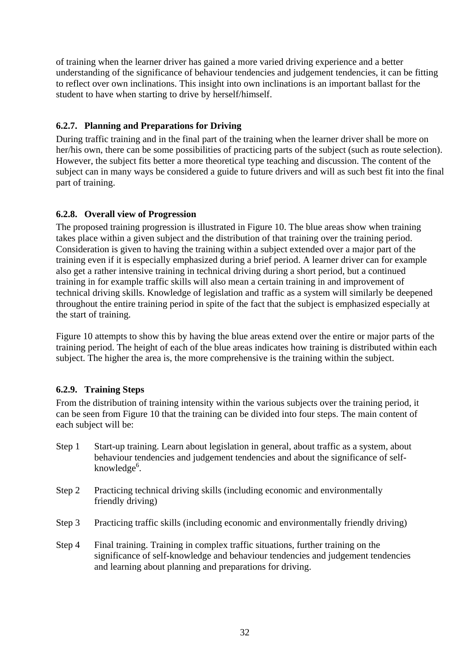<span id="page-40-0"></span>of training when the learner driver has gained a more varied driving experience and a better understanding of the significance of behaviour tendencies and judgement tendencies, it can be fitting to reflect over own inclinations. This insight into own inclinations is an important ballast for the student to have when starting to drive by herself/himself.

#### **6.2.7. Planning and Preparations for Driving**

During traffic training and in the final part of the training when the learner driver shall be more on her/his own, there can be some possibilities of practicing parts of the subject (such as route selection). However, the subject fits better a more theoretical type teaching and discussion. The content of the subject can in many ways be considered a guide to future drivers and will as such best fit into the final part of training.

#### **6.2.8. Overall view of Progression**

The proposed training progression is illustrated in Figure 10. The blue areas show when training takes place within a given subject and the distribution of that training over the training period. Consideration is given to having the training within a subject extended over a major part of the training even if it is especially emphasized during a brief period. A learner driver can for example also get a rather intensive training in technical driving during a short period, but a continued training in for example traffic skills will also mean a certain training in and improvement of technical driving skills. Knowledge of legislation and traffic as a system will similarly be deepened throughout the entire training period in spite of the fact that the subject is emphasized especially at the start of training.

Figure 10 attempts to show this by having the blue areas extend over the entire or major parts of the training period. The height of each of the blue areas indicates how training is distributed within each subject. The higher the area is, the more comprehensive is the training within the subject.

#### **6.2.9. Training Steps**

From the distribution of training intensity within the various subjects over the training period, it can be seen from Figure 10 that the training can be divided into four steps. The main content of each subject will be:

- Step 1 Start-up training. Learn about legislation in general, about traffic as a system, about behaviour tendencies and judgement tendencies and about the significance of selfknowledge<sup>6</sup>.
- Step 2 Practicing technical driving skills (including economic and environmentally friendly driving)
- Step 3 Practicing traffic skills (including economic and environmentally friendly driving)
- Step 4 Final training. Training in complex traffic situations, further training on the significance of self-knowledge and behaviour tendencies and judgement tendencies and learning about planning and preparations for driving.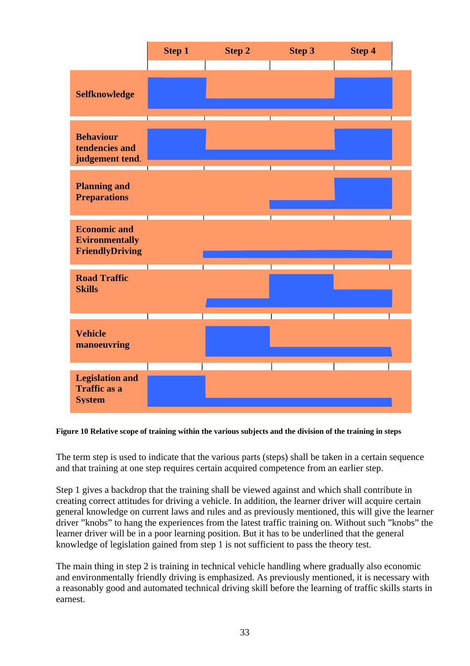|                                                                        | <b>Step 1</b> | <b>Step 2</b> | Step 3 | Step 4 |  |
|------------------------------------------------------------------------|---------------|---------------|--------|--------|--|
|                                                                        |               |               |        |        |  |
| Selfknowledge                                                          |               |               |        |        |  |
| <b>Behaviour</b><br>tendencies and<br>judgement tend.                  |               |               |        |        |  |
| <b>Planning and</b><br><b>Preparations</b>                             |               |               |        |        |  |
| <b>Economic and</b><br><b>Evironmentally</b><br><b>FriendlyDriving</b> |               |               |        |        |  |
| <b>Road Traffic</b><br><b>Skills</b>                                   |               |               |        |        |  |
| <b>Vehicle</b><br>manoeuvring                                          |               |               |        |        |  |
| <b>Legislation and</b><br><b>Traffic as a</b><br><b>System</b>         |               |               |        |        |  |

#### **Figure 10 Relative scope of training within the various subjects and the division of the training in steps**

The term step is used to indicate that the various parts (steps) shall be taken in a certain sequence and that training at one step requires certain acquired competence from an earlier step.

Step 1 gives a backdrop that the training shall be viewed against and which shall contribute in creating correct attitudes for driving a vehicle. In addition, the learner driver will acquire certain general knowledge on current laws and rules and as previously mentioned, this will give the learner driver "knobs" to hang the experiences from the latest traffic training on. Without such "knobs" the learner driver will be in a poor learning position. But it has to be underlined that the general knowledge of legislation gained from step 1 is not sufficient to pass the theory test.

The main thing in step 2 is training in technical vehicle handling where gradually also economic and environmentally friendly driving is emphasized. As previously mentioned, it is necessary with a reasonably good and automated technical driving skill before the learning of traffic skills starts in earnest.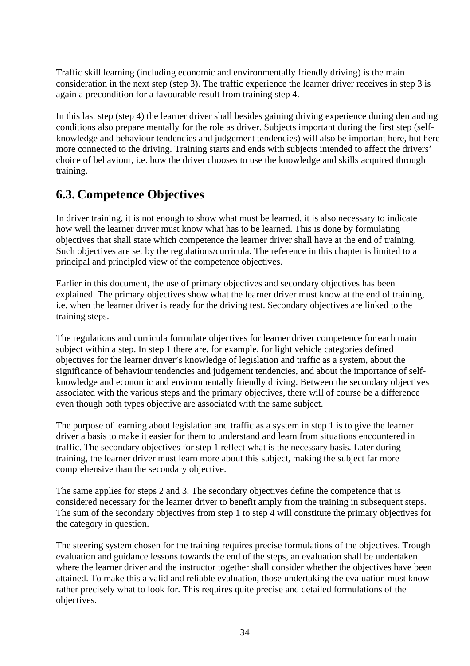<span id="page-42-0"></span>Traffic skill learning (including economic and environmentally friendly driving) is the main consideration in the next step (step 3). The traffic experience the learner driver receives in step 3 is again a precondition for a favourable result from training step 4.

In this last step (step 4) the learner driver shall besides gaining driving experience during demanding conditions also prepare mentally for the role as driver. Subjects important during the first step (selfknowledge and behaviour tendencies and judgement tendencies) will also be important here, but here more connected to the driving. Training starts and ends with subjects intended to affect the drivers' choice of behaviour, i.e. how the driver chooses to use the knowledge and skills acquired through training.

## **6.3. Competence Objectives**

In driver training, it is not enough to show what must be learned, it is also necessary to indicate how well the learner driver must know what has to be learned. This is done by formulating objectives that shall state which competence the learner driver shall have at the end of training. Such objectives are set by the regulations/curricula. The reference in this chapter is limited to a principal and principled view of the competence objectives.

Earlier in this document, the use of primary objectives and secondary objectives has been explained. The primary objectives show what the learner driver must know at the end of training, i.e. when the learner driver is ready for the driving test. Secondary objectives are linked to the training steps.

The regulations and curricula formulate objectives for learner driver competence for each main subject within a step. In step 1 there are, for example, for light vehicle categories defined objectives for the learner driver's knowledge of legislation and traffic as a system, about the significance of behaviour tendencies and judgement tendencies, and about the importance of selfknowledge and economic and environmentally friendly driving. Between the secondary objectives associated with the various steps and the primary objectives, there will of course be a difference even though both types objective are associated with the same subject.

The purpose of learning about legislation and traffic as a system in step 1 is to give the learner driver a basis to make it easier for them to understand and learn from situations encountered in traffic. The secondary objectives for step 1 reflect what is the necessary basis. Later during training, the learner driver must learn more about this subject, making the subject far more comprehensive than the secondary objective.

The same applies for steps 2 and 3. The secondary objectives define the competence that is considered necessary for the learner driver to benefit amply from the training in subsequent steps. The sum of the secondary objectives from step 1 to step 4 will constitute the primary objectives for the category in question.

The steering system chosen for the training requires precise formulations of the objectives. Trough evaluation and guidance lessons towards the end of the steps, an evaluation shall be undertaken where the learner driver and the instructor together shall consider whether the objectives have been attained. To make this a valid and reliable evaluation, those undertaking the evaluation must know rather precisely what to look for. This requires quite precise and detailed formulations of the objectives.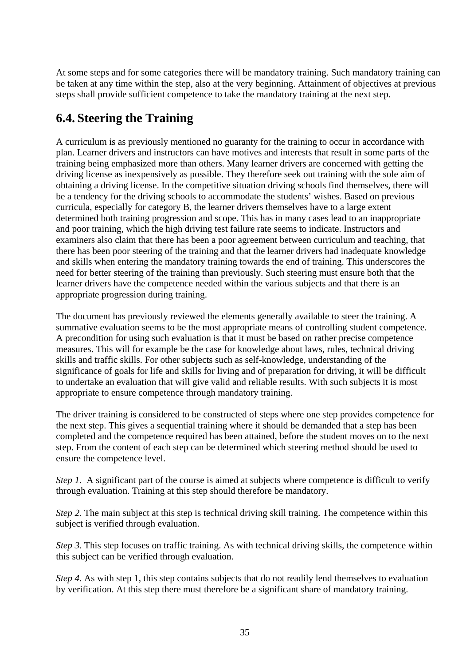<span id="page-43-0"></span>At some steps and for some categories there will be mandatory training. Such mandatory training can be taken at any time within the step, also at the very beginning. Attainment of objectives at previous steps shall provide sufficient competence to take the mandatory training at the next step.

## **6.4. Steering the Training**

A curriculum is as previously mentioned no guaranty for the training to occur in accordance with plan. Learner drivers and instructors can have motives and interests that result in some parts of the training being emphasized more than others. Many learner drivers are concerned with getting the driving license as inexpensively as possible. They therefore seek out training with the sole aim of obtaining a driving license. In the competitive situation driving schools find themselves, there will be a tendency for the driving schools to accommodate the students' wishes. Based on previous curricula, especially for category B, the learner drivers themselves have to a large extent determined both training progression and scope. This has in many cases lead to an inappropriate and poor training, which the high driving test failure rate seems to indicate. Instructors and examiners also claim that there has been a poor agreement between curriculum and teaching, that there has been poor steering of the training and that the learner drivers had inadequate knowledge and skills when entering the mandatory training towards the end of training. This underscores the need for better steering of the training than previously. Such steering must ensure both that the learner drivers have the competence needed within the various subjects and that there is an appropriate progression during training.

The document has previously reviewed the elements generally available to steer the training. A summative evaluation seems to be the most appropriate means of controlling student competence. A precondition for using such evaluation is that it must be based on rather precise competence measures. This will for example be the case for knowledge about laws, rules, technical driving skills and traffic skills. For other subjects such as self-knowledge, understanding of the significance of goals for life and skills for living and of preparation for driving, it will be difficult to undertake an evaluation that will give valid and reliable results. With such subjects it is most appropriate to ensure competence through mandatory training.

The driver training is considered to be constructed of steps where one step provides competence for the next step. This gives a sequential training where it should be demanded that a step has been completed and the competence required has been attained, before the student moves on to the next step. From the content of each step can be determined which steering method should be used to ensure the competence level.

*Step 1.* A significant part of the course is aimed at subjects where competence is difficult to verify through evaluation. Training at this step should therefore be mandatory.

*Step 2.* The main subject at this step is technical driving skill training. The competence within this subject is verified through evaluation.

*Step 3.* This step focuses on traffic training. As with technical driving skills, the competence within this subject can be verified through evaluation.

*Step 4.* As with step 1, this step contains subjects that do not readily lend themselves to evaluation by verification. At this step there must therefore be a significant share of mandatory training.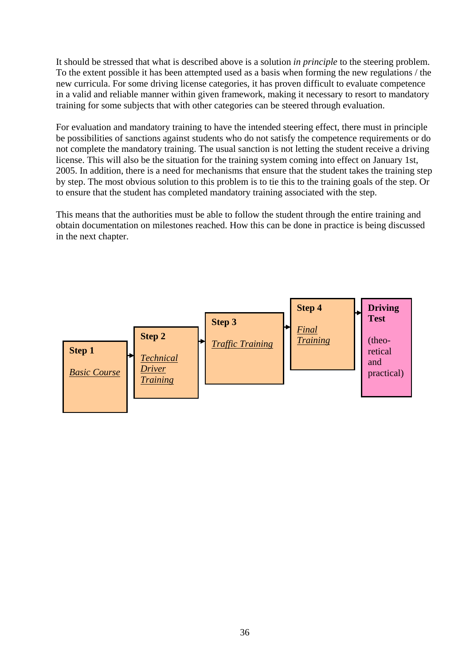It should be stressed that what is described above is a solution *in principle* to the steering problem. To the extent possible it has been attempted used as a basis when forming the new regulations / the new curricula. For some driving license categories, it has proven difficult to evaluate competence in a valid and reliable manner within given framework, making it necessary to resort to mandatory training for some subjects that with other categories can be steered through evaluation.

For evaluation and mandatory training to have the intended steering effect, there must in principle be possibilities of sanctions against students who do not satisfy the competence requirements or do not complete the mandatory training. The usual sanction is not letting the student receive a driving license. This will also be the situation for the training system coming into effect on January 1st, 2005. In addition, there is a need for mechanisms that ensure that the student takes the training step by step. The most obvious solution to this problem is to tie this to the training goals of the step. Or to ensure that the student has completed mandatory training associated with the step.

This means that the authorities must be able to follow the student through the entire training and obtain documentation on milestones reached. How this can be done in practice is being discussed in the next chapter.

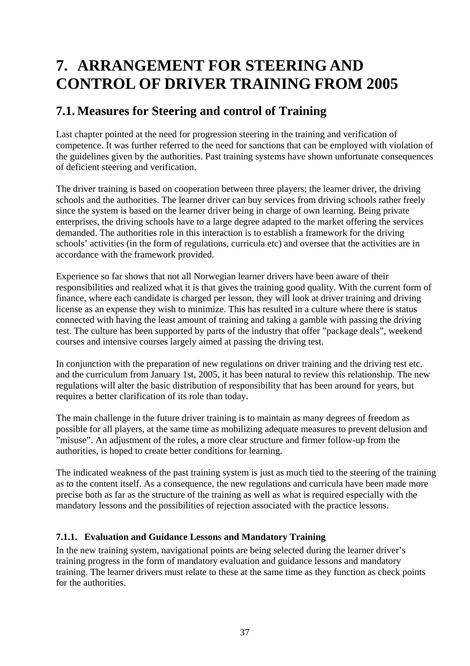## <span id="page-45-0"></span>**7. ARRANGEMENT FOR STEERING AND CONTROL OF DRIVER TRAINING FROM 2005**

## **7.1. Measures for Steering and control of Training**

Last chapter pointed at the need for progression steering in the training and verification of competence. It was further referred to the need for sanctions that can be employed with violation of the guidelines given by the authorities. Past training systems have shown unfortunate consequences of deficient steering and verification.

The driver training is based on cooperation between three players; the learner driver, the driving schools and the authorities. The learner driver can buy services from driving schools rather freely since the system is based on the learner driver being in charge of own learning. Being private enterprises, the driving schools have to a large degree adapted to the market offering the services demanded. The authorities role in this interaction is to establish a framework for the driving schools' activities (in the form of regulations, curricula etc) and oversee that the activities are in accordance with the framework provided.

Experience so far shows that not all Norwegian learner drivers have been aware of their responsibilities and realized what it is that gives the training good quality. With the current form of finance, where each candidate is charged per lesson, they will look at driver training and driving license as an expense they wish to minimize. This has resulted in a culture where there is status connected with having the least amount of training and taking a gamble with passing the driving test. The culture has been supported by parts of the industry that offer "package deals", weekend courses and intensive courses largely aimed at passing the driving test.

In conjunction with the preparation of new regulations on driver training and the driving test etc. and the curriculum from January 1st, 2005, it has been natural to review this relationship. The new regulations will alter the basic distribution of responsibility that has been around for years, but requires a better clarification of its role than today.

The main challenge in the future driver training is to maintain as many degrees of freedom as possible for all players, at the same time as mobilizing adequate measures to prevent delusion and "misuse". An adjustment of the roles, a more clear structure and firmer follow-up from the authorities, is hoped to create better conditions for learning.

The indicated weakness of the past training system is just as much tied to the steering of the training as to the content itself. As a consequence, the new regulations and curricula have been made more precise both as far as the structure of the training as well as what is required especially with the mandatory lessons and the possibilities of rejection associated with the practice lessons.

#### **7.1.1. Evaluation and Guidance Lessons and Mandatory Training**

In the new training system, navigational points are being selected during the learner driver's training progress in the form of mandatory evaluation and guidance lessons and mandatory training. The learner drivers must relate to these at the same time as they function as check points for the authorities.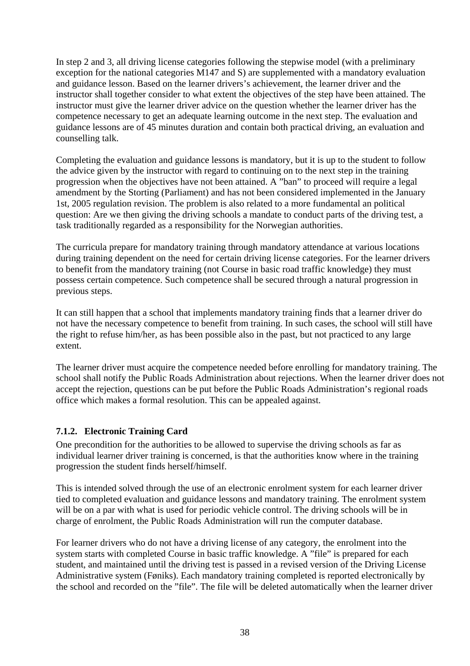<span id="page-46-0"></span>In step 2 and 3, all driving license categories following the stepwise model (with a preliminary exception for the national categories M147 and S) are supplemented with a mandatory evaluation and guidance lesson. Based on the learner drivers's achievement, the learner driver and the instructor shall together consider to what extent the objectives of the step have been attained. The instructor must give the learner driver advice on the question whether the learner driver has the competence necessary to get an adequate learning outcome in the next step. The evaluation and guidance lessons are of 45 minutes duration and contain both practical driving, an evaluation and counselling talk.

Completing the evaluation and guidance lessons is mandatory, but it is up to the student to follow the advice given by the instructor with regard to continuing on to the next step in the training progression when the objectives have not been attained. A "ban" to proceed will require a legal amendment by the Storting (Parliament) and has not been considered implemented in the January 1st, 2005 regulation revision. The problem is also related to a more fundamental an political question: Are we then giving the driving schools a mandate to conduct parts of the driving test, a task traditionally regarded as a responsibility for the Norwegian authorities.

The curricula prepare for mandatory training through mandatory attendance at various locations during training dependent on the need for certain driving license categories. For the learner drivers to benefit from the mandatory training (not Course in basic road traffic knowledge) they must possess certain competence. Such competence shall be secured through a natural progression in previous steps.

It can still happen that a school that implements mandatory training finds that a learner driver do not have the necessary competence to benefit from training. In such cases, the school will still have the right to refuse him/her, as has been possible also in the past, but not practiced to any large extent.

The learner driver must acquire the competence needed before enrolling for mandatory training. The school shall notify the Public Roads Administration about rejections. When the learner driver does not accept the rejection, questions can be put before the Public Roads Administration's regional roads office which makes a formal resolution. This can be appealed against.

#### **7.1.2. Electronic Training Card**

One precondition for the authorities to be allowed to supervise the driving schools as far as individual learner driver training is concerned, is that the authorities know where in the training progression the student finds herself/himself.

This is intended solved through the use of an electronic enrolment system for each learner driver tied to completed evaluation and guidance lessons and mandatory training. The enrolment system will be on a par with what is used for periodic vehicle control. The driving schools will be in charge of enrolment, the Public Roads Administration will run the computer database.

For learner drivers who do not have a driving license of any category, the enrolment into the system starts with completed Course in basic traffic knowledge. A "file" is prepared for each student, and maintained until the driving test is passed in a revised version of the Driving License Administrative system (Føniks). Each mandatory training completed is reported electronically by the school and recorded on the "file". The file will be deleted automatically when the learner driver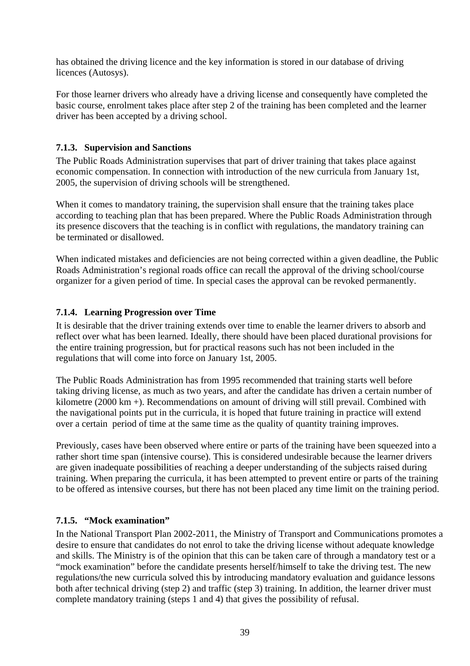<span id="page-47-0"></span>has obtained the driving licence and the key information is stored in our database of driving licences (Autosys).

For those learner drivers who already have a driving license and consequently have completed the basic course, enrolment takes place after step 2 of the training has been completed and the learner driver has been accepted by a driving school.

#### **7.1.3. Supervision and Sanctions**

The Public Roads Administration supervises that part of driver training that takes place against economic compensation. In connection with introduction of the new curricula from January 1st, 2005, the supervision of driving schools will be strengthened.

When it comes to mandatory training, the supervision shall ensure that the training takes place according to teaching plan that has been prepared. Where the Public Roads Administration through its presence discovers that the teaching is in conflict with regulations, the mandatory training can be terminated or disallowed.

When indicated mistakes and deficiencies are not being corrected within a given deadline, the Public Roads Administration's regional roads office can recall the approval of the driving school/course organizer for a given period of time. In special cases the approval can be revoked permanently.

#### **7.1.4. Learning Progression over Time**

It is desirable that the driver training extends over time to enable the learner drivers to absorb and reflect over what has been learned. Ideally, there should have been placed durational provisions for the entire training progression, but for practical reasons such has not been included in the regulations that will come into force on January 1st, 2005.

The Public Roads Administration has from 1995 recommended that training starts well before taking driving license, as much as two years, and after the candidate has driven a certain number of kilometre (2000 km +). Recommendations on amount of driving will still prevail. Combined with the navigational points put in the curricula, it is hoped that future training in practice will extend over a certain period of time at the same time as the quality of quantity training improves.

Previously, cases have been observed where entire or parts of the training have been squeezed into a rather short time span (intensive course). This is considered undesirable because the learner drivers are given inadequate possibilities of reaching a deeper understanding of the subjects raised during training. When preparing the curricula, it has been attempted to prevent entire or parts of the training to be offered as intensive courses, but there has not been placed any time limit on the training period.

#### **7.1.5. "Mock examination"**

In the National Transport Plan 2002-2011, the Ministry of Transport and Communications promotes a desire to ensure that candidates do not enrol to take the driving license without adequate knowledge and skills. The Ministry is of the opinion that this can be taken care of through a mandatory test or a "mock examination" before the candidate presents herself/himself to take the driving test. The new regulations/the new curricula solved this by introducing mandatory evaluation and guidance lessons both after technical driving (step 2) and traffic (step 3) training. In addition, the learner driver must complete mandatory training (steps 1 and 4) that gives the possibility of refusal.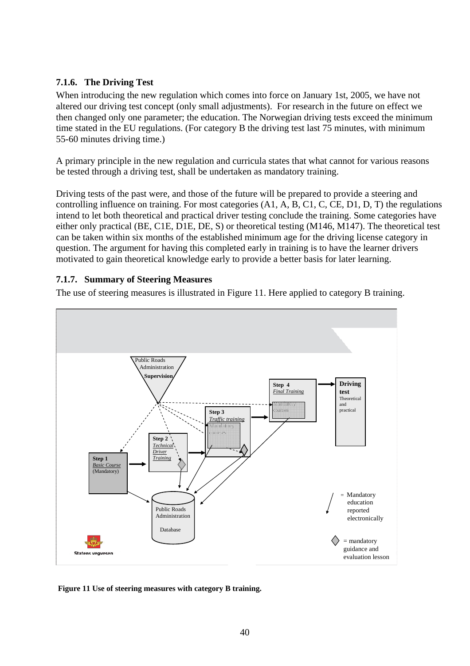#### <span id="page-48-0"></span>**7.1.6. The Driving Test**

When introducing the new regulation which comes into force on January 1st, 2005, we have not altered our driving test concept (only small adjustments). For research in the future on effect we then changed only one parameter; the education. The Norwegian driving tests exceed the minimum time stated in the EU regulations. (For category B the driving test last 75 minutes, with minimum 55-60 minutes driving time.)

A primary principle in the new regulation and curricula states that what cannot for various reasons be tested through a driving test, shall be undertaken as mandatory training.

Driving tests of the past were, and those of the future will be prepared to provide a steering and controlling influence on training. For most categories (A1, A, B, C1, C, CE, D1, D, T) the regulations intend to let both theoretical and practical driver testing conclude the training. Some categories have either only practical (BE, C1E, D1E, DE, S) or theoretical testing (M146, M147). The theoretical test can be taken within six months of the established minimum age for the driving license category in question. The argument for having this completed early in training is to have the learner drivers motivated to gain theoretical knowledge early to provide a better basis for later learning.

#### **7.1.7. Summary of Steering Measures**

The use of steering measures is illustrated in Figure 11. Here applied to category B training.



 **Figure 11 Use of steering measures with category B training.**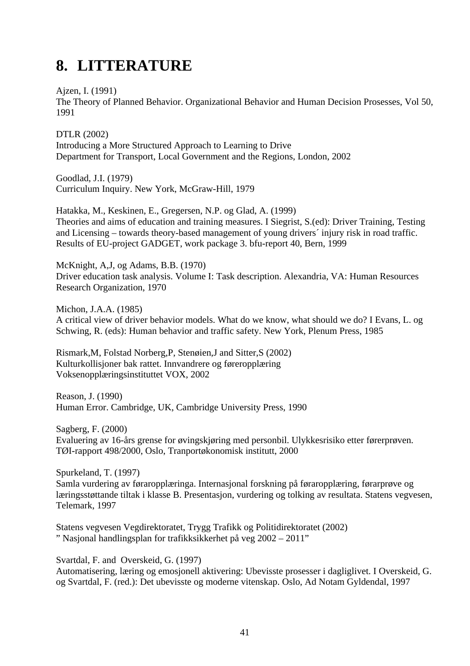## <span id="page-49-0"></span>**8. LITTERATURE**

Ajzen, I. (1991)

The Theory of Planned Behavior. Organizational Behavior and Human Decision Prosesses, Vol 50, 1991

DTLR (2002) Introducing a More Structured Approach to Learning to Drive Department for Transport, Local Government and the Regions, London, 2002

Goodlad, J.I. (1979) Curriculum Inquiry. New York, McGraw-Hill, 1979

Hatakka, M., Keskinen, E., Gregersen, N.P. og Glad, A. (1999) Theories and aims of education and training measures. I Siegrist, S.(ed): Driver Training, Testing and Licensing – towards theory-based management of young drivers´ injury risk in road traffic. Results of EU-project GADGET, work package 3. bfu-report 40, Bern, 1999

McKnight, A,J, og Adams, B.B. (1970) Driver education task analysis. Volume I: Task description. Alexandria, VA: Human Resources Research Organization, 1970

Michon, J.A.A. (1985) A critical view of driver behavior models. What do we know, what should we do? I Evans, L. og Schwing, R. (eds): Human behavior and traffic safety. New York, Plenum Press, 1985

Rismark,M, Folstad Norberg,P, Stenøien,J and Sitter,S (2002) Kulturkollisjoner bak rattet. Innvandrere og føreropplæring Voksenopplæringsinstituttet VOX, 2002

Reason, J. (1990) Human Error. Cambridge, UK, Cambridge University Press, 1990

Sagberg, F. (2000) Evaluering av 16-års grense for øvingskjøring med personbil. Ulykkesrisiko etter førerprøven. TØI-rapport 498/2000, Oslo, Tranportøkonomisk institutt, 2000

Spurkeland, T. (1997) Samla vurdering av føraropplæringa. Internasjonal forskning på føraropplæring, førarprøve og læringsstøttande tiltak i klasse B. Presentasjon, vurdering og tolking av resultata. Statens vegvesen, Telemark, 1997

Statens vegvesen Vegdirektoratet, Trygg Trafikk og Politidirektoratet (2002) " Nasjonal handlingsplan for trafikksikkerhet på veg 2002 – 2011"

Svartdal, F. and Overskeid, G. (1997)

Automatisering, læring og emosjonell aktivering: Ubevisste prosesser i dagliglivet. I Overskeid, G. og Svartdal, F. (red.): Det ubevisste og moderne vitenskap. Oslo, Ad Notam Gyldendal, 1997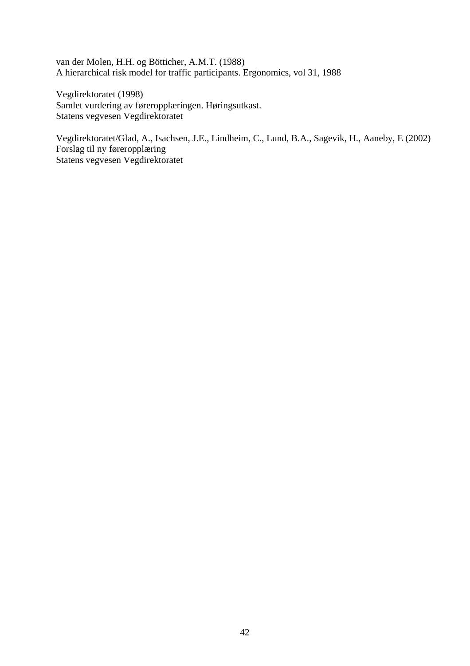van der Molen, H.H. og Bötticher, A.M.T. (1988) A hierarchical risk model for traffic participants. Ergonomics, vol 31, 1988

Vegdirektoratet (1998) Samlet vurdering av føreropplæringen. Høringsutkast. Statens vegvesen Vegdirektoratet

Vegdirektoratet/Glad, A., Isachsen, J.E., Lindheim, C., Lund, B.A., Sagevik, H., Aaneby, E (2002) Forslag til ny føreropplæring Statens vegvesen Vegdirektoratet